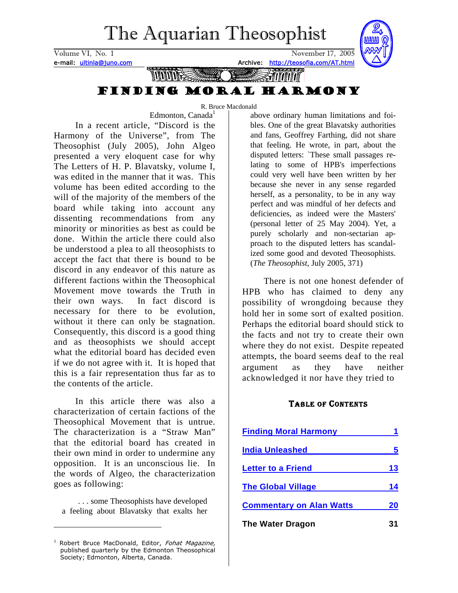# The Aquarian Theosophist

<span id="page-0-1"></span>Volume VI, No. 1 November 17, 2005 e-mail: ultinla@juno.com and Archive: http://teosofia.com/AT.html



### The structure of the single model with the single model with the single model with the single model with the s Finding Moral Harmony

R. Bruce Macdonald

Edmonton, Canada<sup>1</sup> In a recent article, "Discord is the Harmony of the Universe", from The Theosophist (July 2005), John Algeo presented a very eloquent case for why The Letters of H. P. Blavatsky, volume I, was edited in the manner that it was. This volume has been edited according to the will of the majority of the members of the board while taking into account any dissenting recommendations from any minority or minorities as best as could be done. Within the article there could also be understood a plea to all theosophists to accept the fact that there is bound to be discord in any endeavor of this nature as different factions within the Theosophical Movement move towards the Truth in their own ways. In fact discord is necessary for there to be evolution, without it there can only be stagnation. Consequently, this discord is a good thing and as theosophists we should accept what the editorial board has decided even if we do not agree with it. It is hoped that this is a fair representation thus far as to the contents of the article.

In this article there was also a characterization of certain factions of the Theosophical Movement that is untrue. The characterization is a "Straw Man" that the editorial board has created in their own mind in order to undermine any opposition. It is an unconscious lie. In the words of Algeo, the characterization goes as following:

. . . some Theosophists have developed a feeling about Blavatsky that exalts her

above ordinary human limitations and foibles. One of the great Blavatsky authorities and fans, Geoffrey Farthing, did not share that feeling. He wrote, in part, about the disputed letters: `These small passages relating to some of HPB's imperfections could very well have been written by her because she never in any sense regarded herself, as a personality, to be in any way perfect and was mindful of her defects and deficiencies, as indeed were the Masters' (personal letter of 25 May 2004). Yet, a purely scholarly and non-sectarian approach to the disputed letters has scandalized some good and devoted Theosophists. (*The Theosophist*, July 2005, 371)

There is not one honest defender of HPB who has claimed to deny any possibility of wrongdoing because they hold her in some sort of exalted position. Perhaps the editorial board should stick to the facts and not try to create their own where they do not exist. Despite repeated attempts, the board seems deaf to the real argument as they have neither acknowledged it nor have they tried to

#### TABLE OF CONTENTS

| <b>Finding Moral Harmony</b>    |    |
|---------------------------------|----|
| <b>India Unleashed</b>          |    |
| <b>Letter to a Friend</b>       | 13 |
| <b>The Global Village</b>       | 14 |
| <b>Commentary on Alan Watts</b> | 20 |
| <b>The Water Dragon</b>         |    |

<span id="page-0-0"></span><sup>&</sup>lt;sup>1</sup> Robert Bruce MacDonald, Editor, Fohat Magazine, published quarterly by the Edmonton Theosophical Society; Edmonton, Alberta, Canada.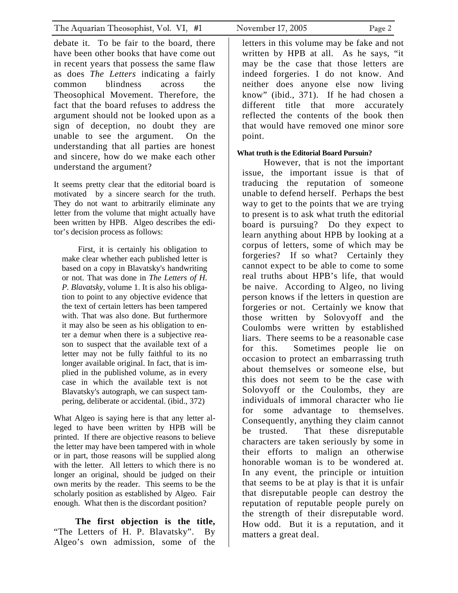debate it. To be fair to the board, there have been other books that have come out in recent years that possess the same flaw as does *The Letters* indicating a fairly common blindness across the Theosophical Movement. Therefore, the fact that the board refuses to address the argument should not be looked upon as a sign of deception, no doubt they are unable to see the argument. On the understanding that all parties are honest and sincere, how do we make each other understand the argument?

It seems pretty clear that the editorial board is motivated by a sincere search for the truth. They do not want to arbitrarily eliminate any letter from the volume that might actually have been written by HPB. Algeo describes the editor's decision process as follows:

First, it is certainly his obligation to make clear whether each published letter is based on a copy in Blavatsky's handwriting or not. That was done in *The Letters of H. P. Blavatsky*, volume 1. It is also his obligation to point to any objective evidence that the text of certain letters has been tampered with. That was also done. But furthermore it may also be seen as his obligation to enter a demur when there is a subjective reason to suspect that the available text of a letter may not be fully faithful to its no longer available original. In fact, that is implied in the published volume, as in every case in which the available text is not Blavatsky's autograph, we can suspect tampering, deliberate or accidental. (ibid., 372)

What Algeo is saying here is that any letter alleged to have been written by HPB will be printed. If there are objective reasons to believe the letter may have been tampered with in whole or in part, those reasons will be supplied along with the letter. All letters to which there is no longer an original, should be judged on their own merits by the reader. This seems to be the scholarly position as established by Algeo. Fair enough. What then is the discordant position?

**The first objection is the title,** "The Letters of H. P. Blavatsky". By Algeo's own admission, some of the

letters in this volume may be fake and not written by HPB at all. As he says, "it may be the case that those letters are indeed forgeries. I do not know. And neither does anyone else now living know" (ibid., 371). If he had chosen a different title that more accurately reflected the contents of the book then that would have removed one minor sore point.

#### **What truth is the Editorial Board Pursuin?**

However, that is not the important issue, the important issue is that of traducing the reputation of someone unable to defend herself. Perhaps the best way to get to the points that we are trying to present is to ask what truth the editorial board is pursuing? Do they expect to learn anything about HPB by looking at a corpus of letters, some of which may be forgeries? If so what? Certainly they cannot expect to be able to come to some real truths about HPB's life, that would be naive. According to Algeo, no living person knows if the letters in question are forgeries or not. Certainly we know that those written by Solovyoff and the Coulombs were written by established liars. There seems to be a reasonable case for this. Sometimes people lie on occasion to protect an embarrassing truth about themselves or someone else, but this does not seem to be the case with Solovyoff or the Coulombs, they are individuals of immoral character who lie for some advantage to themselves. Consequently, anything they claim cannot be trusted. That these disreputable characters are taken seriously by some in their efforts to malign an otherwise honorable woman is to be wondered at. In any event, the principle or intuition that seems to be at play is that it is unfair that disreputable people can destroy the reputation of reputable people purely on the strength of their disreputable word. How odd. But it is a reputation, and it matters a great deal.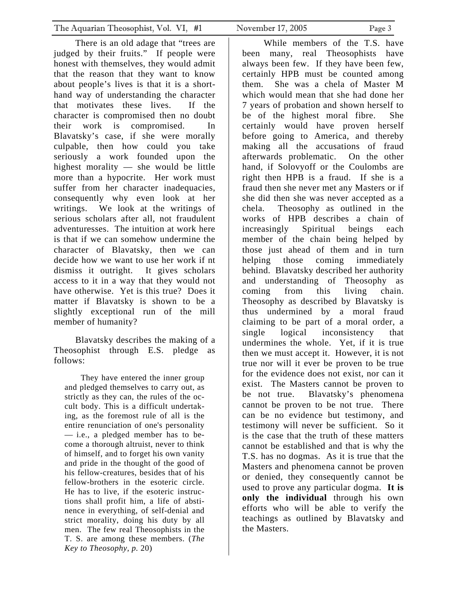There is an old adage that "trees are judged by their fruits." If people were honest with themselves, they would admit that the reason that they want to know about people's lives is that it is a shorthand way of understanding the character that motivates these lives. If the character is compromised then no doubt their work is compromised. In Blavatsky's case, if she were morally culpable, then how could you take seriously a work founded upon the highest morality — she would be little more than a hypocrite. Her work must suffer from her character inadequacies, consequently why even look at her writings. We look at the writings of serious scholars after all, not fraudulent adventuresses. The intuition at work here is that if we can somehow undermine the character of Blavatsky, then we can decide how we want to use her work if nt dismiss it outright. It gives scholars access to it in a way that they would not have otherwise. Yet is this true? Does it matter if Blavatsky is shown to be a slightly exceptional run of the mill member of humanity?

Blavatsky describes the making of a Theosophist through E.S. pledge as follows:

They have entered the inner group and pledged themselves to carry out, as strictly as they can, the rules of the occult body. This is a difficult undertaking, as the foremost rule of all is the entire renunciation of one's personality — i.e., a pledged member has to become a thorough altruist, never to think of himself, and to forget his own vanity and pride in the thought of the good of his fellow-creatures, besides that of his fellow-brothers in the esoteric circle. He has to live, if the esoteric instructions shall profit him, a life of abstinence in everything, of self-denial and strict morality, doing his duty by all men. The few real Theosophists in the T. S. are among these members. (*The Key to Theosophy, p.* 20)

While members of the T.S. have been many, real Theosophists have always been few. If they have been few, certainly HPB must be counted among them. She was a chela of Master M which would mean that she had done her 7 years of probation and shown herself to be of the highest moral fibre. She certainly would have proven herself before going to America, and thereby making all the accusations of fraud afterwards problematic. On the other hand, if Solovyoff or the Coulombs are right then HPB is a fraud. If she is a fraud then she never met any Masters or if she did then she was never accepted as a chela. Theosophy as outlined in the works of HPB describes a chain of increasingly Spiritual beings each member of the chain being helped by those just ahead of them and in turn helping those coming immediately behind. Blavatsky described her authority and understanding of Theosophy as coming from this living chain. Theosophy as described by Blavatsky is thus undermined by a moral fraud claiming to be part of a moral order, a single logical inconsistency that undermines the whole. Yet, if it is true then we must accept it. However, it is not true nor will it ever be proven to be true for the evidence does not exist, nor can it exist. The Masters cannot be proven to be not true. Blavatsky's phenomena cannot be proven to be not true. There can be no evidence but testimony, and testimony will never be sufficient. So it is the case that the truth of these matters cannot be established and that is why the T.S. has no dogmas. As it is true that the Masters and phenomena cannot be proven or denied, they consequently cannot be used to prove any particular dogma. **It is only the individual** through his own efforts who will be able to verify the teachings as outlined by Blavatsky and the Masters.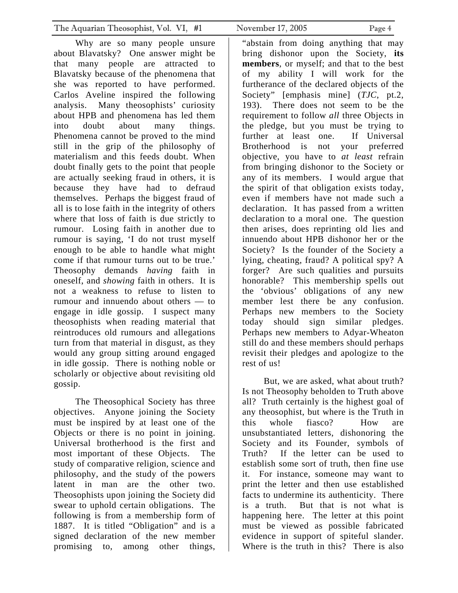Why are so many people unsure about Blavatsky? One answer might be that many people are attracted to Blavatsky because of the phenomena that she was reported to have performed. Carlos Aveline inspired the following analysis. Many theosophists' curiosity about HPB and phenomena has led them into doubt about many things. Phenomena cannot be proved to the mind still in the grip of the philosophy of materialism and this feeds doubt. When doubt finally gets to the point that people are actually seeking fraud in others, it is because they have had to defraud themselves. Perhaps the biggest fraud of all is to lose faith in the integrity of others where that loss of faith is due strictly to rumour. Losing faith in another due to rumour is saying, 'I do not trust myself enough to be able to handle what might come if that rumour turns out to be true.' Theosophy demands *having* faith in oneself, and *showing* faith in others. It is not a weakness to refuse to listen to rumour and innuendo about others — to engage in idle gossip. I suspect many theosophists when reading material that reintroduces old rumours and allegations turn from that material in disgust, as they would any group sitting around engaged in idle gossip. There is nothing noble or scholarly or objective about revisiting old gossip.

The Theosophical Society has three objectives. Anyone joining the Society must be inspired by at least one of the Objects or there is no point in joining. Universal brotherhood is the first and most important of these Objects. The study of comparative religion, science and philosophy, and the study of the powers latent in man are the other two. Theosophists upon joining the Society did swear to uphold certain obligations. The following is from a membership form of 1887. It is titled "Obligation" and is a signed declaration of the new member promising to, among other things,

"abstain from doing anything that may bring dishonor upon the Society, **its members**, or myself; and that to the best of my ability I will work for the furtherance of the declared objects of the Society" [emphasis mine] (*TJC*, pt.2, 193). There does not seem to be the requirement to follow *all* three Objects in the pledge, but you must be trying to further at least one. If Universal Brotherhood is not your preferred objective, you have to *at least* refrain from bringing dishonor to the Society or any of its members. I would argue that the spirit of that obligation exists today, even if members have not made such a declaration. It has passed from a written declaration to a moral one. The question then arises, does reprinting old lies and innuendo about HPB dishonor her or the Society? Is the founder of the Society a lying, cheating, fraud? A political spy? A forger? Are such qualities and pursuits honorable? This membership spells out the 'obvious' obligations of any new member lest there be any confusion. Perhaps new members to the Society today should sign similar pledges. Perhaps new members to Adyar-Wheaton still do and these members should perhaps revisit their pledges and apologize to the rest of us!

But, we are asked, what about truth? Is not Theosophy beholden to Truth above all? Truth certainly is the highest goal of any theosophist, but where is the Truth in this whole fiasco? How are unsubstantiated letters, dishonoring the Society and its Founder, symbols of Truth? If the letter can be used to establish some sort of truth, then fine use it. For instance, someone may want to print the letter and then use established facts to undermine its authenticity. There is a truth. But that is not what is happening here. The letter at this point must be viewed as possible fabricated evidence in support of spiteful slander. Where is the truth in this? There is also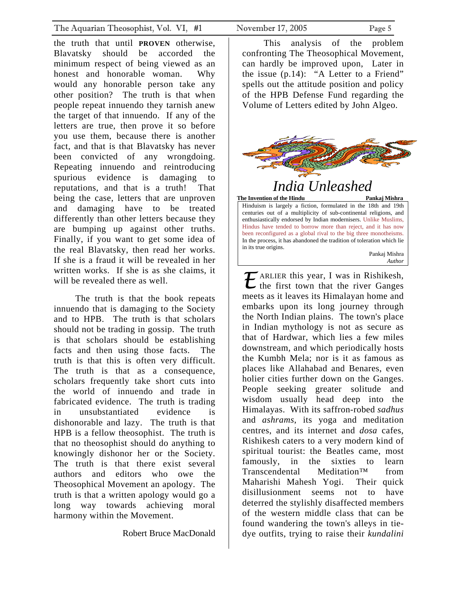<span id="page-4-0"></span>the truth that until **PROVEN** otherwise, Blavatsky should be accorded the minimum respect of being viewed as an honest and honorable woman. Why would any honorable person take any other position? The truth is that when people repeat innuendo they tarnish anew the target of that innuendo. If any of the letters are true, then prove it so before you use them, because there is another fact, and that is that Blavatsky has never been convicted of any wrongdoing. Repeating innuendo and reintroducing spurious evidence is damaging to reputations, and that is a truth! That being the case, letters that are unproven and damaging have to be treated differently than other letters because they are bumping up against other truths. Finally, if you want to get some idea of the real Blavatsky, then read her works. If she is a fraud it will be revealed in her written works. If she is as she claims, it will be revealed there as well.

The truth is that the book repeats innuendo that is damaging to the Society and to HPB. The truth is that scholars should not be trading in gossip. The truth is that scholars should be establishing facts and then using those facts. The truth is that this is often very difficult. The truth is that as a consequence, scholars frequently take short cuts into the world of innuendo and trade in fabricated evidence. The truth is trading in unsubstantiated evidence is dishonorable and lazy. The truth is that HPB is a fellow theosophist. The truth is that no theosophist should do anything to knowingly dishonor her or the Society. The truth is that there exist several authors and editors who owe the Theosophical Movement an apology. The truth is that a written apology would go a long way towards achieving moral harmony within the Movement.

Robert Bruce MacDonald

This analysis of the problem confronting The Theosophical Movement, can hardly be improved upon, Later in the issue (p.14): "A Letter to a Friend" spells out the attitude position and policy of the HPB Defense Fund regarding the Volume of Letters edited by John Algeo.



in its true origins. Pankaj Mishra *Author E* ARLIER this year, I was in Rishikesh, the first town that the river Ganges meets as it leaves its Himalayan home and embarks upon its long journey through the North Indian plains. The town's place in Indian mythology is not as secure as that of Hardwar, which lies a few miles downstream, and which periodically hosts the Kumbh Mela; nor is it as famous as places like Allahabad and Benares, even holier cities further down on the Ganges. People seeking greater solitude and wisdom usually head deep into the Himalayas. With its saffron-robed *sadhus* and *ashrams*, its yoga and meditation centres, and its internet and *dosa* cafes, Rishikesh caters to a very modern kind of spiritual tourist: the Beatles came, most famously, in the sixties to learn Transcendental Meditation™ from Maharishi Mahesh Yogi. Their quick disillusionment seems not to have deterred the stylishly disaffected members of the western middle class that can be found wandering the town's alleys in tiedye outfits, trying to raise their *kundalini*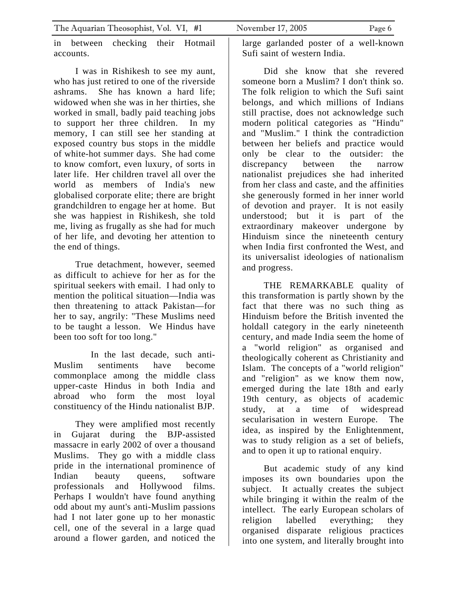in between checking their Hotmail accounts.

I was in Rishikesh to see my aunt, who has just retired to one of the riverside ashrams. She has known a hard life; widowed when she was in her thirties, she worked in small, badly paid teaching jobs to support her three children. In my memory, I can still see her standing at exposed country bus stops in the middle of white-hot summer days. She had come to know comfort, even luxury, of sorts in later life. Her children travel all over the world as members of India's new globalised corporate elite; there are bright grandchildren to engage her at home. But she was happiest in Rishikesh, she told me, living as frugally as she had for much of her life, and devoting her attention to the end of things.

True detachment, however, seemed as difficult to achieve for her as for the spiritual seekers with email. I had only to mention the political situation—India was then threatening to attack Pakistan—for her to say, angrily: "These Muslims need to be taught a lesson. We Hindus have been too soft for too long."

 In the last decade, such anti-Muslim sentiments have become commonplace among the middle class upper-caste Hindus in both India and abroad who form the most loyal constituency of the Hindu nationalist BJP.

They were amplified most recently in Gujarat during the BJP-assisted massacre in early 2002 of over a thousand Muslims. They go with a middle class pride in the international prominence of Indian beauty queens, software professionals and Hollywood films. Perhaps I wouldn't have found anything odd about my aunt's anti-Muslim passions had I not later gone up to her monastic cell, one of the several in a large quad around a flower garden, and noticed the

large garlanded poster of a well-known Sufi saint of western India.

Did she know that she revered someone born a Muslim? I don't think so. The folk religion to which the Sufi saint belongs, and which millions of Indians still practise, does not acknowledge such modern political categories as "Hindu" and "Muslim." I think the contradiction between her beliefs and practice would only be clear to the outsider: the discrepancy between the narrow nationalist prejudices she had inherited from her class and caste, and the affinities she generously formed in her inner world of devotion and prayer. It is not easily understood; but it is part of the extraordinary makeover undergone by Hinduism since the nineteenth century when India first confronted the West, and its universalist ideologies of nationalism and progress.

THE REMARKABLE quality of this transformation is partly shown by the fact that there was no such thing as Hinduism before the British invented the holdall category in the early nineteenth century, and made India seem the home of a "world religion" as organised and theologically coherent as Christianity and Islam. The concepts of a "world religion" and "religion" as we know them now, emerged during the late 18th and early 19th century, as objects of academic study, at a time of widespread secularisation in western Europe. The idea, as inspired by the Enlightenment, was to study religion as a set of beliefs, and to open it up to rational enquiry.

But academic study of any kind imposes its own boundaries upon the subject. It actually creates the subject while bringing it within the realm of the intellect. The early European scholars of religion labelled everything; they organised disparate religious practices into one system, and literally brought into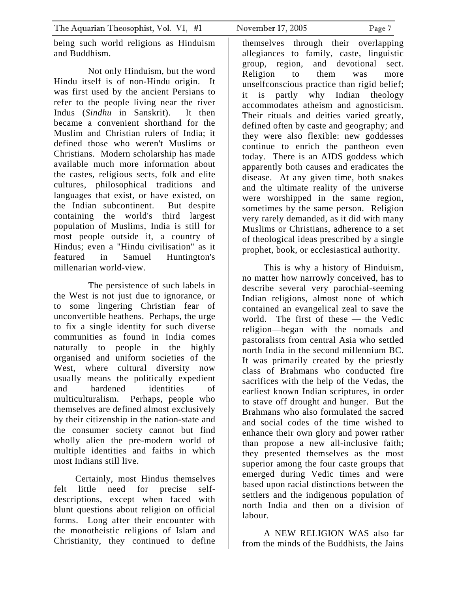being such world religions as Hinduism and Buddhism.

 Not only Hinduism, but the word Hindu itself is of non-Hindu origin. It was first used by the ancient Persians to refer to the people living near the river Indus (*Sindhu* in Sanskrit). It then became a convenient shorthand for the Muslim and Christian rulers of India; it defined those who weren't Muslims or Christians. Modern scholarship has made available much more information about the castes, religious sects, folk and elite cultures, philosophical traditions and languages that exist, or have existed, on the Indian subcontinent. But despite containing the world's third largest population of Muslims, India is still for most people outside it, a country of Hindus; even a "Hindu civilisation" as it featured in Samuel Huntington's millenarian world-view.

 The persistence of such labels in the West is not just due to ignorance, or to some lingering Christian fear of unconvertible heathens. Perhaps, the urge to fix a single identity for such diverse communities as found in India comes naturally to people in the highly organised and uniform societies of the West, where cultural diversity now usually means the politically expedient and hardened identities of multiculturalism. Perhaps, people who themselves are defined almost exclusively by their citizenship in the nation-state and the consumer society cannot but find wholly alien the pre-modern world of multiple identities and faiths in which most Indians still live.

Certainly, most Hindus themselves felt little need for precise selfdescriptions, except when faced with blunt questions about religion on official forms. Long after their encounter with the monotheistic religions of Islam and Christianity, they continued to define

themselves through their overlapping allegiances to family, caste, linguistic group, region, and devotional sect. Religion to them was more unselfconscious practice than rigid belief; it is partly why Indian theology accommodates atheism and agnosticism. Their rituals and deities varied greatly, defined often by caste and geography; and they were also flexible: new goddesses continue to enrich the pantheon even today. There is an AIDS goddess which apparently both causes and eradicates the disease. At any given time, both snakes and the ultimate reality of the universe were worshipped in the same region, sometimes by the same person. Religion very rarely demanded, as it did with many Muslims or Christians, adherence to a set of theological ideas prescribed by a single prophet, book, or ecclesiastical authority.

This is why a history of Hinduism, no matter how narrowly conceived, has to describe several very parochial-seeming Indian religions, almost none of which contained an evangelical zeal to save the world. The first of these — the Vedic religion—began with the nomads and pastoralists from central Asia who settled north India in the second millennium BC. It was primarily created by the priestly class of Brahmans who conducted fire sacrifices with the help of the Vedas, the earliest known Indian scriptures, in order to stave off drought and hunger. But the Brahmans who also formulated the sacred and social codes of the time wished to enhance their own glory and power rather than propose a new all-inclusive faith; they presented themselves as the most superior among the four caste groups that emerged during Vedic times and were based upon racial distinctions between the settlers and the indigenous population of north India and then on a division of labour.

A NEW RELIGION WAS also far from the minds of the Buddhists, the Jains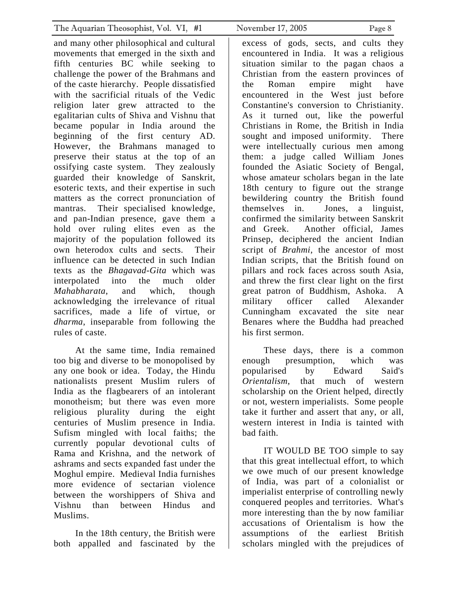and many other philosophical and cultural movements that emerged in the sixth and fifth centuries BC while seeking to challenge the power of the Brahmans and of the caste hierarchy. People dissatisfied with the sacrificial rituals of the Vedic religion later grew attracted to the egalitarian cults of Shiva and Vishnu that became popular in India around the beginning of the first century AD. However, the Brahmans managed to preserve their status at the top of an ossifying caste system. They zealously guarded their knowledge of Sanskrit, esoteric texts, and their expertise in such matters as the correct pronunciation of mantras. Their specialised knowledge, and pan-Indian presence, gave them a hold over ruling elites even as the majority of the population followed its own heterodox cults and sects. Their influence can be detected in such Indian texts as the *Bhagavad-Gita* which was interpolated into the much older *Mahabharata*, and which, though acknowledging the irrelevance of ritual sacrifices, made a life of virtue, or *dharma*, inseparable from following the rules of caste.

At the same time, India remained too big and diverse to be monopolised by any one book or idea. Today, the Hindu nationalists present Muslim rulers of India as the flagbearers of an intolerant monotheism; but there was even more religious plurality during the eight centuries of Muslim presence in India. Sufism mingled with local faiths; the currently popular devotional cults of Rama and Krishna, and the network of ashrams and sects expanded fast under the Moghul empire. Medieval India furnishes more evidence of sectarian violence between the worshippers of Shiva and Vishnu than between Hindus and Muslims.

In the 18th century, the British were both appalled and fascinated by the excess of gods, sects, and cults they encountered in India. It was a religious situation similar to the pagan chaos a Christian from the eastern provinces of the Roman empire might have encountered in the West just before Constantine's conversion to Christianity. As it turned out, like the powerful Christians in Rome, the British in India sought and imposed uniformity. There were intellectually curious men among them: a judge called William Jones founded the Asiatic Society of Bengal, whose amateur scholars began in the late 18th century to figure out the strange bewildering country the British found themselves in. Jones, a linguist, confirmed the similarity between Sanskrit and Greek. Another official, James Prinsep, deciphered the ancient Indian script of *Brahmi*, the ancestor of most Indian scripts, that the British found on pillars and rock faces across south Asia, and threw the first clear light on the first great patron of Buddhism, Ashoka. A

military officer called Alexander Cunningham excavated the site near Benares where the Buddha had preached his first sermon.

These days, there is a common enough presumption, which was popularised by Edward Said's *Orientalism*, that much of western scholarship on the Orient helped, directly or not, western imperialists. Some people take it further and assert that any, or all, western interest in India is tainted with bad faith.

IT WOULD BE TOO simple to say that this great intellectual effort, to which we owe much of our present knowledge of India, was part of a colonialist or imperialist enterprise of controlling newly conquered peoples and territories. What's more interesting than the by now familiar accusations of Orientalism is how the assumptions of the earliest British scholars mingled with the prejudices of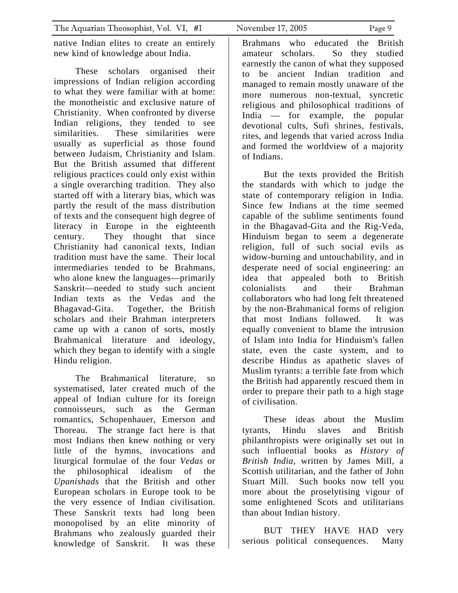native Indian elites to create an entirely new kind of knowledge about India.

These scholars organised their impressions of Indian religion according to what they were familiar with at home: the monotheistic and exclusive nature of Christianity. When confronted by diverse Indian religions, they tended to see similarities. These similarities were usually as superficial as those found between Judaism, Christianity and Islam. But the British assumed that different religious practices could only exist within a single overarching tradition. They also started off with a literary bias, which was partly the result of the mass distribution of texts and the consequent high degree of literacy in Europe in the eighteenth century. They thought that since Christianity had canonical texts, Indian tradition must have the same. Their local intermediaries tended to be Brahmans, who alone knew the languages—primarily Sanskrit—needed to study such ancient Indian texts as the Vedas and the Bhagavad-Gita. Together, the British scholars and their Brahman interpreters came up with a canon of sorts, mostly Brahmanical literature and ideology, which they began to identify with a single Hindu religion.

The Brahmanical literature, so systematised, later created much of the appeal of Indian culture for its foreign connoisseurs, such as the German romantics, Schopenhauer, Emerson and Thoreau. The strange fact here is that most Indians then knew nothing or very little of the hymns, invocations and liturgical formulae of the four *Vedas* or the philosophical idealism of the *Upanishads* that the British and other European scholars in Europe took to be the very essence of Indian civilisation. These Sanskrit texts had long been monopolised by an elite minority of Brahmans who zealously guarded their knowledge of Sanskrit. It was these

Brahmans who educated the British

amateur scholars. So they studied earnestly the canon of what they supposed to be ancient Indian tradition and managed to remain mostly unaware of the more numerous non-textual, syncretic religious and philosophical traditions of India — for example, the popular devotional cults, Sufi shrines, festivals, rites, and legends that varied across India and formed the worldview of a majority of Indians.

But the texts provided the British the standards with which to judge the state of contemporary religion in India. Since few Indians at the time seemed capable of the sublime sentiments found in the Bhagavad-Gita and the Rig-Veda, Hinduism began to seem a degenerate religion, full of such social evils as widow-burning and untouchability, and in desperate need of social engineering: an idea that appealed both to British colonialists and their Brahman collaborators who had long felt threatened by the non-Brahmanical forms of religion that most Indians followed. It was equally convenient to blame the intrusion of Islam into India for Hinduism's fallen state, even the caste system, and to describe Hindus as apathetic slaves of Muslim tyrants: a terrible fate from which the British had apparently rescued them in order to prepare their path to a high stage of civilisation.

These ideas about the Muslim tyrants, Hindu slaves and British philanthropists were originally set out in such influential books as *History of British India*, written by James Mill, a Scottish utilitarian, and the father of John Stuart Mill. Such books now tell you more about the proselytising vigour of some enlightened Scots and utilitarians than about Indian history.

BUT THEY HAVE HAD very serious political consequences. Many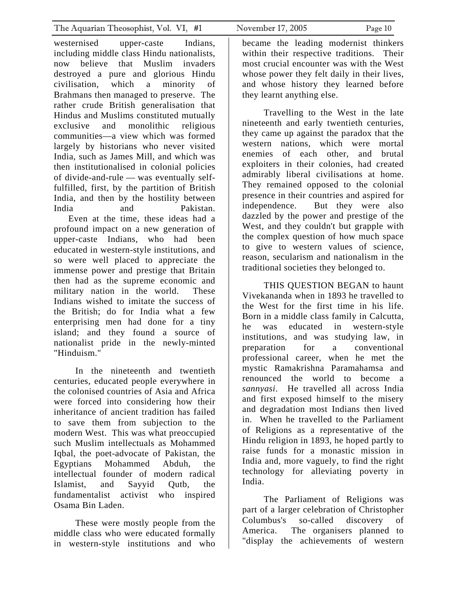westernised upper-caste Indians, including middle class Hindu nationalists, now believe that Muslim invaders destroyed a pure and glorious Hindu civilisation, which a minority of Brahmans then managed to preserve. The rather crude British generalisation that Hindus and Muslims constituted mutually exclusive and monolithic religious communities—a view which was formed largely by historians who never visited India, such as James Mill, and which was then institutionalised in colonial policies of divide-and-rule — was eventually selffulfilled, first, by the partition of British India, and then by the hostility between India and Pakistan. Even at the time, these ideas had a profound impact on a new generation of upper-caste Indians, who had been educated in western-style institutions, and so were well placed to appreciate the immense power and prestige that Britain then had as the supreme economic and military nation in the world. These Indians wished to imitate the success of the British; do for India what a few enterprising men had done for a tiny island; and they found a source of nationalist pride in the newly-minted

In the nineteenth and twentieth centuries, educated people everywhere in the colonised countries of Asia and Africa were forced into considering how their inheritance of ancient tradition has failed to save them from subjection to the modern West. This was what preoccupied such Muslim intellectuals as Mohammed Iqbal, the poet-advocate of Pakistan, the Egyptians Mohammed Abduh, the intellectual founder of modern radical Islamist, and Sayyid Qutb, the fundamentalist activist who inspired Osama Bin Laden.

"Hinduism."

These were mostly people from the middle class who were educated formally in western-style institutions and who

became the leading modernist thinkers within their respective traditions. Their most crucial encounter was with the West whose power they felt daily in their lives, and whose history they learned before they learnt anything else.

Travelling to the West in the late nineteenth and early twentieth centuries, they came up against the paradox that the western nations, which were mortal enemies of each other, and brutal exploiters in their colonies, had created admirably liberal civilisations at home. They remained opposed to the colonial presence in their countries and aspired for independence. But they were also dazzled by the power and prestige of the West, and they couldn't but grapple with the complex question of how much space to give to western values of science, reason, secularism and nationalism in the traditional societies they belonged to.

THIS QUESTION BEGAN to haunt Vivekananda when in 1893 he travelled to the West for the first time in his life. Born in a middle class family in Calcutta, he was educated in western-style institutions, and was studying law, in preparation for a conventional professional career, when he met the mystic Ramakrishna Paramahamsa and renounced the world to become a *sannyasi*. He travelled all across India and first exposed himself to the misery and degradation most Indians then lived in. When he travelled to the Parliament of Religions as a representative of the Hindu religion in 1893, he hoped partly to raise funds for a monastic mission in India and, more vaguely, to find the right technology for alleviating poverty in India.

The Parliament of Religions was part of a larger celebration of Christopher Columbus's so-called discovery of America. The organisers planned to "display the achievements of western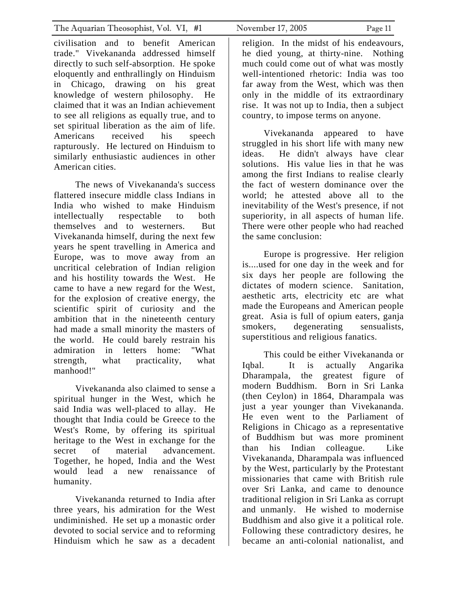civilisation and to benefit American trade." Vivekananda addressed himself directly to such self-absorption. He spoke eloquently and enthrallingly on Hinduism in Chicago, drawing on his great knowledge of western philosophy. He claimed that it was an Indian achievement to see all religions as equally true, and to set spiritual liberation as the aim of life. Americans received his speech rapturously. He lectured on Hinduism to similarly enthusiastic audiences in other American cities.

The news of Vivekananda's success flattered insecure middle class Indians in India who wished to make Hinduism intellectually respectable to both themselves and to westerners. But Vivekananda himself, during the next few years he spent travelling in America and Europe, was to move away from an uncritical celebration of Indian religion and his hostility towards the West. He came to have a new regard for the West, for the explosion of creative energy, the scientific spirit of curiosity and the ambition that in the nineteenth century had made a small minority the masters of the world. He could barely restrain his admiration in letters home: "What strength, what practicality, what manhood!"

Vivekananda also claimed to sense a spiritual hunger in the West, which he said India was well-placed to allay. He thought that India could be Greece to the West's Rome, by offering its spiritual heritage to the West in exchange for the secret of material advancement. Together, he hoped, India and the West would lead a new renaissance of humanity.

Vivekananda returned to India after three years, his admiration for the West undiminished. He set up a monastic order devoted to social service and to reforming Hinduism which he saw as a decadent

religion. In the midst of his endeavours, he died young, at thirty-nine. Nothing much could come out of what was mostly well-intentioned rhetoric: India was too far away from the West, which was then only in the middle of its extraordinary rise. It was not up to India, then a subject country, to impose terms on anyone.

Vivekananda appeared to have struggled in his short life with many new ideas. He didn't always have clear solutions. His value lies in that he was among the first Indians to realise clearly the fact of western dominance over the world; he attested above all to the inevitability of the West's presence, if not superiority, in all aspects of human life. There were other people who had reached the same conclusion:

Europe is progressive. Her religion is....used for one day in the week and for six days her people are following the dictates of modern science. Sanitation, aesthetic arts, electricity etc are what made the Europeans and American people great. Asia is full of opium eaters, ganja smokers, degenerating sensualists, superstitious and religious fanatics.

This could be either Vivekananda or Iqbal. It is actually Angarika Dharampala, the greatest figure of modern Buddhism. Born in Sri Lanka (then Ceylon) in 1864, Dharampala was just a year younger than Vivekananda. He even went to the Parliament of Religions in Chicago as a representative of Buddhism but was more prominent than his Indian colleague. Like Vivekananda, Dharampala was influenced by the West, particularly by the Protestant missionaries that came with British rule over Sri Lanka, and came to denounce traditional religion in Sri Lanka as corrupt and unmanly. He wished to modernise Buddhism and also give it a political role. Following these contradictory desires, he became an anti-colonial nationalist, and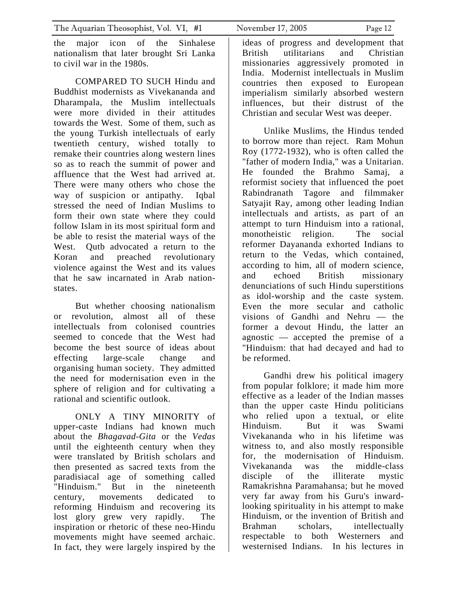the major icon of the Sinhalese nationalism that later brought Sri Lanka to civil war in the 1980s.

COMPARED TO SUCH Hindu and Buddhist modernists as Vivekananda and Dharampala, the Muslim intellectuals were more divided in their attitudes towards the West. Some of them, such as the young Turkish intellectuals of early twentieth century, wished totally to remake their countries along western lines so as to reach the summit of power and affluence that the West had arrived at. There were many others who chose the way of suspicion or antipathy. Iqbal stressed the need of Indian Muslims to form their own state where they could follow Islam in its most spiritual form and be able to resist the material ways of the West. Qutb advocated a return to the Koran and preached revolutionary violence against the West and its values that he saw incarnated in Arab nationstates.

But whether choosing nationalism or revolution, almost all of these intellectuals from colonised countries seemed to concede that the West had become the best source of ideas about effecting large-scale change and organising human society. They admitted the need for modernisation even in the sphere of religion and for cultivating a rational and scientific outlook.

ONLY A TINY MINORITY of upper-caste Indians had known much about the *Bhagavad-Gita* or the *Vedas* until the eighteenth century when they were translated by British scholars and then presented as sacred texts from the paradisiacal age of something called "Hinduism." But in the nineteenth century, movements dedicated to reforming Hinduism and recovering its lost glory grew very rapidly. The inspiration or rhetoric of these neo-Hindu movements might have seemed archaic. In fact, they were largely inspired by the

ideas of progress and development that British utilitarians and Christian missionaries aggressively promoted in India. Modernist intellectuals in Muslim countries then exposed to European imperialism similarly absorbed western influences, but their distrust of the Christian and secular West was deeper.

Unlike Muslims, the Hindus tended to borrow more than reject. Ram Mohun Roy (1772-1932), who is often called the "father of modern India," was a Unitarian. He founded the Brahmo Samaj, a reformist society that influenced the poet Rabindranath Tagore and filmmaker Satyajit Ray, among other leading Indian intellectuals and artists, as part of an attempt to turn Hinduism into a rational, monotheistic religion. The social reformer Dayananda exhorted Indians to return to the Vedas, which contained, according to him, all of modern science, and echoed British missionary denunciations of such Hindu superstitions as idol-worship and the caste system. Even the more secular and catholic visions of Gandhi and Nehru — the former a devout Hindu, the latter an agnostic — accepted the premise of a "Hinduism: that had decayed and had to be reformed.

Gandhi drew his political imagery from popular folklore; it made him more effective as a leader of the Indian masses than the upper caste Hindu politicians who relied upon a textual, or elite Hinduism. But it was Swami Vivekananda who in his lifetime was witness to, and also mostly responsible for, the modernisation of Hinduism. Vivekananda was the middle-class disciple of the illiterate mystic Ramakrishna Paramahansa; but he moved very far away from his Guru's inwardlooking spirituality in his attempt to make Hinduism, or the invention of British and Brahman scholars, intellectually respectable to both Westerners and westernised Indians. In his lectures in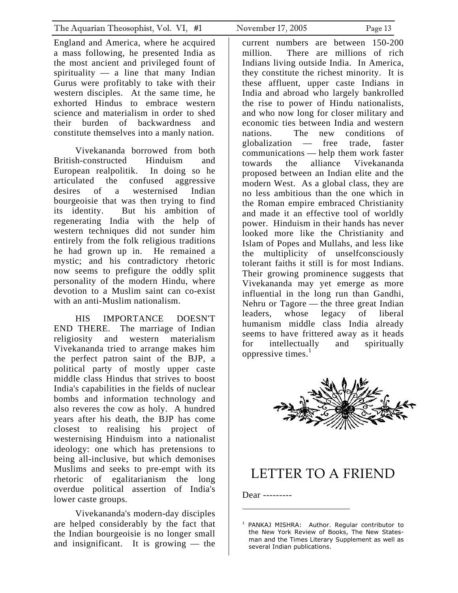<span id="page-12-0"></span>England and America, where he acquired a mass following, he presented India as the most ancient and privileged fount of spirituality  $\frac{1}{\sqrt{2}}$  a line that many Indian Gurus were profitably to take with their western disciples. At the same time, he exhorted Hindus to embrace western science and materialism in order to shed their burden of backwardness and constitute themselves into a manly nation.

Vivekananda borrowed from both British-constructed Hinduism and European realpolitik. In doing so he articulated the confused aggressive desires of a westernised Indian bourgeoisie that was then trying to find its identity. But his ambition of regenerating India with the help of western techniques did not sunder him entirely from the folk religious traditions he had grown up in. He remained a mystic; and his contradictory rhetoric now seems to prefigure the oddly split personality of the modern Hindu, where devotion to a Muslim saint can co-exist with an anti-Muslim nationalism.

HIS IMPORTANCE DOESN'T END THERE. The marriage of Indian religiosity and western materialism Vivekananda tried to arrange makes him the perfect patron saint of the BJP, a political party of mostly upper caste middle class Hindus that strives to boost India's capabilities in the fields of nuclear bombs and information technology and also reveres the cow as holy. A hundred years after his death, the BJP has come closest to realising his project of westernising Hinduism into a nationalist ideology: one which has pretensions to being all-inclusive, but which demonises Muslims and seeks to pre-empt with its rhetoric of egalitarianism the long overdue political assertion of India's lower caste groups.

Vivekananda's modern-day disciples are helped considerably by the fact that the Indian bourgeoisie is no longer small and insignificant. It is growing — the

current numbers are between 150-200 million. There are millions of rich Indians living outside India. In America, they constitute the richest minority. It is these affluent, upper caste Indians in India and abroad who largely bankrolled the rise to power of Hindu nationalists, and who now long for closer military and economic ties between India and western nations. The new conditions of globalization — free trade, faster communications — help them work faster towards the alliance Vivekananda proposed between an Indian elite and the modern West. As a global class, they are no less ambitious than the one which in the Roman empire embraced Christianity and made it an effective tool of worldly power. Hinduism in their hands has never looked more like the Christianity and Islam of Popes and Mullahs, and less like the multiplicity of unselfconsciously tolerant faiths it still is for most Indians. Their growing prominence suggests that Vivekananda may yet emerge as more influential in the long run than Gandhi, Nehru or Tagore — the three great Indian leaders, whose legacy of liberal humanism middle class India already seems to have frittered away as it heads for intellectually and spiritually oppressive times. [1](#page-12-1)



### LETTER TO A FRIEND

Dear ---------

<span id="page-12-1"></span><sup>&</sup>lt;sup>1</sup> PANKAJ MISHRA: Author. Regular contributor to the New York Review of Books, The New Statesman and the Times Literary Supplement as well as several Indian publications.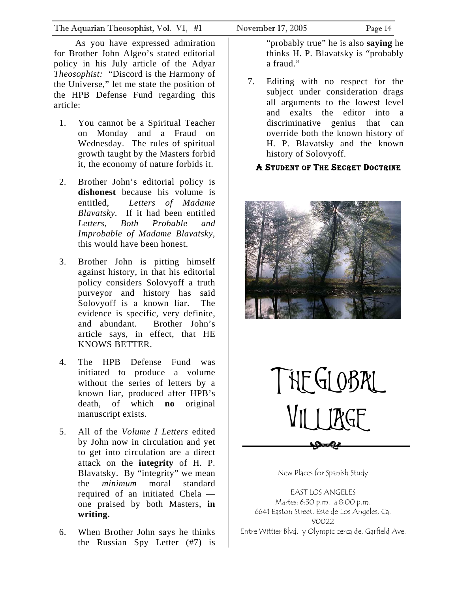<span id="page-13-0"></span>The Aquarian Theosophist, Vol. VI, #1 November 17, 2005 Page 14

As you have expressed admiration for Brother John Algeo's stated editorial policy in his July article of the Adyar *Theosophist:* "Discord is the Harmony of the Universe," let me state the position of the HPB Defense Fund regarding this article:

- 1. You cannot be a Spiritual Teacher on Monday and a Fraud on Wednesday. The rules of spiritual growth taught by the Masters forbid it, the economy of nature forbids it.
- 2. Brother John's editorial policy is **dishonest** because his volume is entitled, *Letters of Madame Blavatsky.* If it had been entitled *Letters, Both Probable and Improbable of Madame Blavatsky,* this would have been honest.
- 3. Brother John is pitting himself against history, in that his editorial policy considers Solovyoff a truth purveyor and history has said Solovyoff is a known liar. The evidence is specific, very definite, and abundant. Brother John's article says, in effect, that HE KNOWS BETTER.
- 4. The HPB Defense Fund was initiated to produce a volume without the series of letters by a known liar, produced after HPB's death, of which **no** original manuscript exists.
- 5. All of the *Volume I Letters* edited by John now in circulation and yet to get into circulation are a direct attack on the **integrity** of H. P. Blavatsky. By "integrity" we mean the *minimum* moral standard required of an initiated Chela one praised by both Masters, **in writing.**
- 6. When Brother John says he thinks the Russian Spy Letter (#7) is

"probably true" he is also **saying** he thinks H. P. Blavatsky is "probably a fraud."

7. Editing with no respect for the subject under consideration drags all arguments to the lowest level and exalts the editor into a discriminative genius that can override both the known history of H. P. Blavatsky and the known history of Solovyoff.

#### A STUDENT OF THE SECRET DOCTRINE





New Places for Spanish Study

EAST LOS ANGELES Martes: 6:30 p.m. a 8:00 p.m. 6641 Easton Street, Este de Los Angeles, Ca. 90022 Entre Wittier Blvd. y Olympic cerca de, Garfield Ave.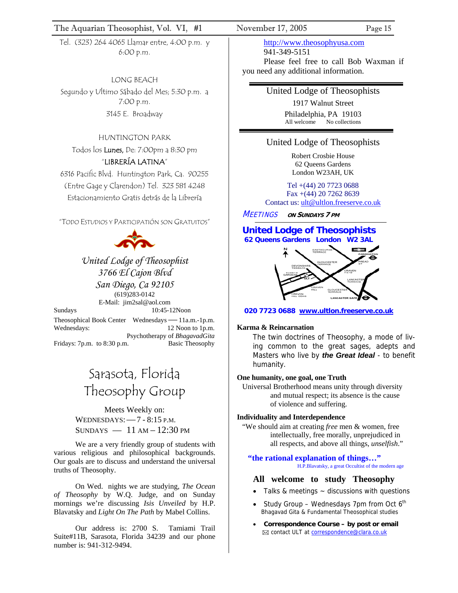#### The Aquarian Theosophist, Vol. VI, #1 November 17, 2005 Page 15

Tel. (323) 264 4065 Llamar entre, 4:00 p.m. y 6:00 p.m.

LONG BEACH Segundo y Ultimo Sábado del Mes; 5:30 p.m. a 7:00 p.m. 3145 E. Broadway

#### HUNTINGTON PARK

Todos los Lunes, De: 7:00pm a 8:30 pm "LIBRERÍA LATINA"

6316 Pacific Blvd. Huntington Park, Ca. 90255 (Entre Gage y Clarendon) Tel. 323 581 4248 Estacionamiento Gratis detrás de la Librería

"TODO ESTUDIOS Y PARTICIPATIÓN SON GRATUITOS"



*United Lodge of Theosophist 3766 El Cajon Blvd San Diego, Ca 92105*  (619)283-0142 E-Mail: jim2sal@aol.com

Sundays 10:45-12Noon Theosophical Book Center Wednesdays—11a.m.-1p.m.

Wednesdays: 12 Noon to 1p.m. Psychotherapy of *BhagavadGita* Fridays: 7p.m. to 8:30 p.m. Basic Theosophy

## Sarasota, Florida Theosophy Group

Meets Weekly on: WEDNESDAYS:—7 - 8:15 P.M.  $SUNDAYS$   $-11 AM-12:30 PM$ 

We are a very friendly group of students with various religious and philosophical backgrounds. Our goals are to discuss and understand the universal truths of Theosophy.

On Wed. nights we are studying, *The Ocean of Theosophy* by W.Q. Judge, and on Sunday mornings we're discussing *Isis Unveiled* by H.P. Blavatsky and *Light On The Path* by Mabel Collins.

Our address is: 2700 S. Tamiami Trail Suite#11B, Sarasota, Florida 34239 and our phone number is: 941-312-9494.

http://www.theosophyusa.com 941-349-5151 Please feel free to call Bob Waxman if you need any additional information.

United Lodge of Theosophists

1917 Walnut Street Philadelphia, PA 19103 All welcome No collections

#### United Lodge of Theosophists

Robert Crosbie House 62 Queens Gardens London W23AH, UK

Tel +(44) 20 7723 0688 Fax +(44) 20 7262 8639 Contact us: [ult@ultlon.freeserve.co.uk](mailto:ult@ultlon.freeserve.co.uk)

MEETINGS **ON SUNDAYS 7 PM**



í



 **020 7723 0688 www.ultlon.freeserve.co.uk**

#### **Karma & Reincarnation**

The twin doctrines of Theosophy, a mode of living common to the great sages, adepts and Masters who live by *the Great Ideal* - to benefit humanity.

#### **One humanity, one goal, one Truth**

Universal Brotherhood means unity through diversity and mutual respect; its absence is the cause of violence and suffering.

#### **Individuality and Interdependence**

"We should aim at creating *free* men & women, free intellectually, free morally, unprejudiced in all respects, and above all things, *unselfish*."

**"the rational explanation of things…"** H.P.Blavatsky, a great Occultist of the modern age

#### **All welcome to study Theosophy**

- Talks & meetings  $\sim$  discussions with questions
- Study Group Wednesdays 7pm from Oct  $6<sup>th</sup>$ Bhagavad Gita & Fundamental Theosophical studies
- **Correspondence Course by post or email** ⊠ contact ULT at **correspondence@clara.co.uk**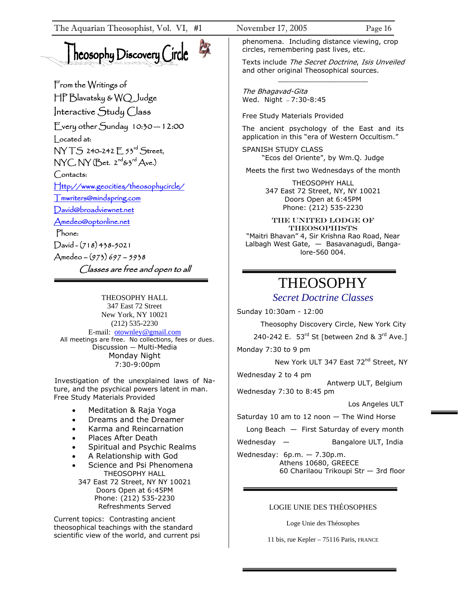# heosophy Discovery Circle



From the Writings of HP Blavatsky & WQ Judge Interactive Study Class Every other Sunday 10:30 — 12:00 Located at: NY TS 240-242 E 53rd Street,  $NYC, NY(Bet. 2<sup>nd</sup> & 3<sup>rd</sup> Ave.)$ Contacts: [Http://www.geocities/theosophycircle/](http://www.geocities/theosophycircle/)  [Tmwriters@mindspring.com](mailto:Tmwriters@mindspring.com) [David@broadviewnet.net](mailto:David@broadviewnet.net) [Amedeo@optonline.net](mailto:Amedeo@optonline.net)  Phone:  $David -(718) 438-5021$ Amedeo – (973) 697 – 5938 Classes are free and open to all

THEOSOPHY HALL 347 East 72 Street New York, NY 10021 (212) 535-2230 E-mail: [otownley@gmail.com](mailto:Uotownley@gmail.comU) All meetings are free. No collections, fees or dues. Discussion — Multi-Media Monday Night 7:30-9:00pm

Investigation of the unexplained laws of Nature, and the psychical powers latent in man. Free Study Materials Provided

- Meditation & Raja Yoga
- Dreams and the Dreamer
- Karma and Reincarnation
- Places After Death
- Spiritual and Psychic Realms
- A Relationship with God
- Science and Psi Phenomena THEOSOPHY HALL
	- 347 East 72 Street, NY NY 10021 Doors Open at 6:45PM Phone: (212) 535-2230 Refreshments Served

Current topics: Contrasting ancient theosophical teachings with the standard scientific view of the world, and current psi phenomena. Including distance viewing, crop circles, remembering past lives, etc.

Texts include The Secret Doctrine, Isis Unveiled and other original Theosophical sources. \_\_\_\_\_\_\_\_\_\_\_\_\_\_\_\_\_\_\_\_\_

The Bhagavad-Gita Wed. Night — 7:30-8:45

Free Study Materials Provided

The ancient psychology of the East and its application in this "era of Western Occultism."

SPANISH STUDY CLASS "Ecos del Oriente", by Wm.Q. Judge

Meets the first two Wednesdays of the month

THEOSOPHY HALL 347 East 72 Street, NY, NY 10021 Doors Open at 6:45PM Phone: (212) 535-2230

THE United Lodge of **THEOSOPHISTS** "Maitri Bhavan" 4, Sir Krishna Rao Road, Near Lalbagh West Gate, — Basavanagudi, Bangalore-560 004.

### THEOSOPHY

*Secret Doctrine Classes*

Sunday 10:30am - 12:00 Theosophy Discovery Circle, New York City 240-242 E. 53rd St [between 2nd & 3rd Ave.]

Monday 7:30 to 9 pm

New York ULT 347 East 72<sup>nd</sup> Street, NY

Wednesday 2 to 4 pm

 Antwerp ULT, Belgium Wednesday 7:30 to 8:45 pm

Los Angeles ULT

Saturday 10 am to 12 noon  $-$  The Wind Horse

Long Beach — First Saturday of every month

Wednesday — Bangalore ULT, India

Wednesday: 6p.m. — 7.30p.m. Athens 10680, GREECE 60 Charilaou Trikoupi Str — 3rd floor

#### LOGIE UNIE DES THÉOSOPHES

Loge Unie des Théosophes

11 bis, rue Kepler – 75116 Paris, FRANCE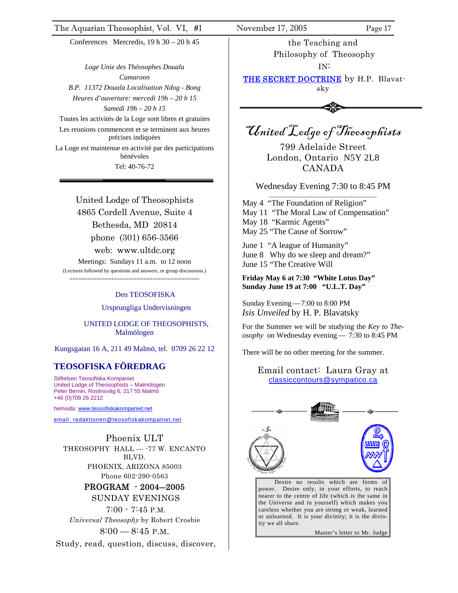Conferences Mercredis, 19 h 30 – 20 h 45

*Loge Unie des Théosophes Douala Camaroon B.P. 11372 Douala Localisation Ndog - Bong Heures d'ouverture: mercedi 19h – 20 h 15 Samedi 19h – 20 h 15*  Toutes les activités de la Loge sont libres et gratuites Les reunions commencent et se terminent aux heures précises indiquées

La Loge est maintenue en activité par des participations bénévoles

Tel: 40-76-72

United Lodge of Theosophists 4865 Cordell Avenue, Suite 4 Bethesda, MD 20814 phone (301) 656-3566 web: www.ultdc.org

Meetings: Sundays 11 a.m. to 12 noon (Lectures followed by questions and answers, or group discussions.)

============================================

#### Den TEOSOFISKA

Ursprungliga Undervisningen

 UNITED LODGE OF THEOSOPHISTS, Malmölogen

Kungsgatan 16 A, 211 49 Malmö, tel. 0709 26 22 12

#### **TEOSOFISKA FÖREDRAG**

Stiftelsen Teosofiska Kompaniet United Lodge of Theosophists – Malmölogen Peter Bernin, Roslinsväg 6, 217 55 Malmö +46 (0)709 26 2212

hemsida: [www.t](http://www.teosofiskakompaniet.net/)eosofiskakompaniet.net

[email: redaktionen@teosofiskakompaniet.net](http://www.teosofiskakompaniet.net/)

Phoenix ULT THEOSOPHY HALL -- 77 W. ENCANTO BLVD. PHOENIX, ARIZONA 85003 Phone 602-290-0563

#### PROGRAM - 2004―2005 SUNDAY EVENINGS

 7:00 - 7:45 P.M. Universal Theosophy by Robert Crosbie

 $8:00-8:45$  P.M.

Study, read, question, discuss, discover,

the Teaching and Philosophy of Theosophy IN:

THE SECRET DOCTRINE by H.P. Blavatsky



United Lodge of Theosophists

799 Adelaide Street London, Ontario N5Y 2L8 CANADA

Wednesday Evening 7:30 to 8:45 PM \_\_\_\_\_\_\_\_\_\_\_\_\_\_\_\_\_\_\_\_\_\_\_\_\_\_\_\_\_\_\_\_\_\_\_\_

May 4 "The Foundation of Religion" May 11 "The Moral Law of Compensation" May 18 "Karmic Agents" May 25 "The Cause of Sorrow"

June 1 "A league of Humanity" June 8 Why do we sleep and dream?" June 15 "The Creative Will

#### **Friday May 6 at 7:30 "White Lotus Day" Sunday June 19 at 7:00 "U.L.T. Day"**

Sunday Evening—7:00 to 8:00 PM *Isis Unveiled* by H. P. Blavatsky

For the Summer we will be studying the *Key to Theosophy* on Wednesday evening— 7:30 to 8:45 PM

There will be no other meeting for the summer.

Email contact: Laura Gray at [classiccontours@sympatico.ca](mailto:classiccontours@sympatico.ca)



Desire no results which are forms of power. Desire only, in your efforts, to reach nearer to the centre of life (which is the same in the Universe and in yourself) which makes you careless whether you are strong or weak, learned or unlearned. It is your divinity; it is the divinity we all share.

Master's letter to Mr. Judge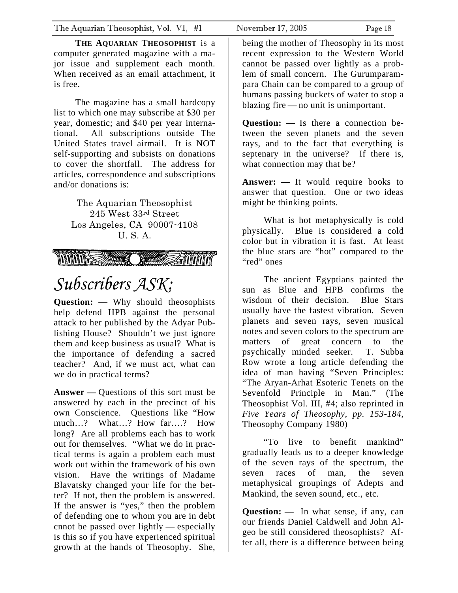**THE AQUARIAN THEOSOPHIST** is a computer generated magazine with a major issue and supplement each month. When received as an email attachment, it is free.

The magazine has a small hardcopy list to which one may subscribe at \$30 per year, domestic; and \$40 per year international. All subscriptions outside The United States travel airmail. It is NOT self-supporting and subsists on donations to cover the shortfall. The address for articles, correspondence and subscriptions and/or donations is:

> The Aquarian Theosophist 245 West 33rd Street Los Angeles, CA 90007-4108 U. S. A.

**All Constantinople of the Constantinople of the Constantinople of the Constantinople of the Constantinople of** 

# *Subscribers ASK:*

**Question: —** Why should theosophists help defend HPB against the personal attack to her published by the Adyar Publishing House? Shouldn't we just ignore them and keep business as usual? What is the importance of defending a sacred teacher? And, if we must act, what can we do in practical terms?

**Answer —** Questions of this sort must be answered by each in the precinct of his own Conscience. Questions like "How much…? What…? How far….? How long? Are all problems each has to work out for themselves. "What we do in practical terms is again a problem each must work out within the framework of his own vision. Have the writings of Madame Blavatsky changed your life for the better? If not, then the problem is answered. If the answer is "yes," then the problem of defending one to whom you are in debt cnnot be passed over lightly — especially is this so if you have experienced spiritual growth at the hands of Theosophy. She,

being the mother of Theosophy in its most recent expression to the Western World cannot be passed over lightly as a problem of small concern. The Gurumparampara Chain can be compared to a group of humans passing buckets of water to stop a blazing fire — no unit is unimportant.

**Question: —** Is there a connection between the seven planets and the seven rays, and to the fact that everything is septenary in the universe? If there is, what connection may that be?

**Answer: —** It would require books to answer that question. One or two ideas might be thinking points.

What is hot metaphysically is cold physically. Blue is considered a cold color but in vibration it is fast. At least the blue stars are "hot" compared to the "red" ones

The ancient Egyptians painted the sun as Blue and HPB confirms the wisdom of their decision. Blue Stars usually have the fastest vibration. Seven planets and seven rays, seven musical notes and seven colors to the spectrum are matters of great concern to the psychically minded seeker. T. Subba Row wrote a long article defending the idea of man having "Seven Principles: "The Aryan-Arhat Esoteric Tenets on the Sevenfold Principle in Man." (The Theosophist Vol. III, #4; also reprinted in *Five Years of Theosophy, pp. 153-184*, Theosophy Company 1980)

"To live to benefit mankind" gradually leads us to a deeper knowledge of the seven rays of the spectrum, the seven races of man, the seven metaphysical groupings of Adepts and Mankind, the seven sound, etc., etc.

**Question: —** In what sense, if any, can our friends Daniel Caldwell and John Algeo be still considered theosophists? After all, there is a difference between being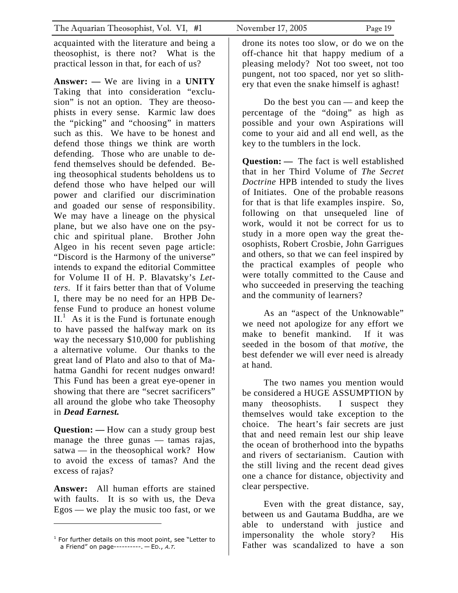acquainted with the literature and being a theosophist, is there not? What is the practical lesson in that, for each of us?

**Answer: —** We are living in a **UNITY**  Taking that into consideration "exclusion" is not an option. They are theosophists in every sense. Karmic law does the "picking" and "choosing" in matters such as this. We have to be honest and defend those things we think are worth defending. Those who are unable to defend themselves should be defended. Being theosophical students beholdens us to defend those who have helped our will power and clarified our discrimination and goaded our sense of responsibility. We may have a lineage on the physical plane, but we also have one on the psychic and spiritual plane. Brother John Algeo in his recent seven page article: "Discord is the Harmony of the universe" intends to expand the editorial Committee for Volume II of H. P. Blavatsky's *Letters.* If it fairs better than that of Volume I, there may be no need for an HPB Defense Fund to produce an honest volume  $II<sup>1</sup>$  $II<sup>1</sup>$  $II<sup>1</sup>$  As it is the Fund is fortunate enough to have passed the halfway mark on its way the necessary \$10,000 for publishing a alternative volume. Our thanks to the great land of Plato and also to that of Mahatma Gandhi for recent nudges onward! This Fund has been a great eye-opener in showing that there are "secret sacrificers" all around the globe who take Theosophy in *Dead Earnest.* 

**Question: —** How can a study group best manage the three gunas — tamas rajas, satwa — in the theosophical work? How to avoid the excess of tamas? And the excess of rajas?

**Answer:** All human efforts are stained with faults. It is so with us, the Deva Egos — we play the music too fast, or we

drone its notes too slow, or do we on the off-chance hit that happy medium of a pleasing melody? Not too sweet, not too pungent, not too spaced, nor yet so slithery that even the snake himself is aghast!

Do the best you can — and keep the percentage of the "doing" as high as possible and your own Aspirations will come to your aid and all end well, as the key to the tumblers in the lock.

**Question:** — The fact is well established that in her Third Volume of *The Secret Doctrine* HPB intended to study the lives of Initiates. One of the probable reasons for that is that life examples inspire. So, following on that unsequeled line of work, would it not be correct for us to study in a more open way the great theosophists, Robert Crosbie, John Garrigues and others, so that we can feel inspired by the practical examples of people who were totally committed to the Cause and who succeeded in preserving the teaching and the community of learners?

As an "aspect of the Unknowable" we need not apologize for any effort we make to benefit mankind. If it was seeded in the bosom of that *motive,* the best defender we will ever need is already at hand.

The two names you mention would be considered a HUGE ASSUMPTION by many theosophists. I suspect they themselves would take exception to the choice. The heart's fair secrets are just that and need remain lest our ship leave the ocean of brotherhood into the bypaths and rivers of sectarianism. Caution with the still living and the recent dead gives one a chance for distance, objectivity and clear perspective.

Even with the great distance, say, between us and Gautama Buddha, are we able to understand with justice and impersonality the whole story? His Father was scandalized to have a son

<span id="page-18-0"></span><sup>&</sup>lt;sup>1</sup> For further details on this moot point, see "Letter to a Friend" on page----------. — ED., <sup>A</sup>.T.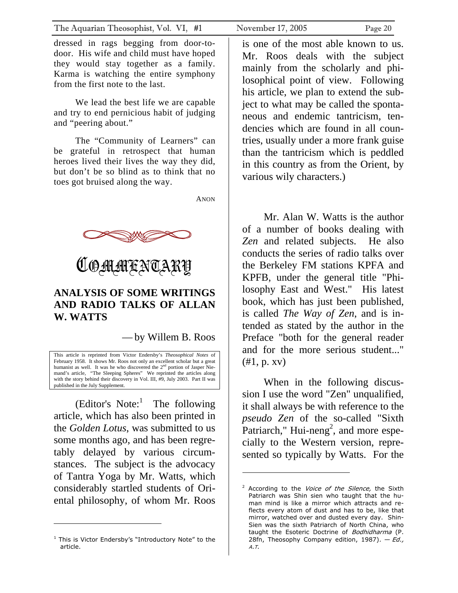<span id="page-19-0"></span>dressed in rags begging from door-todoor. His wife and child must have hoped they would stay together as a family. Karma is watching the entire symphony from the first note to the last.

We lead the best life we are capable and try to end pernicious habit of judging and "peering about."

The "Community of Learners" can be grateful in retrospect that human heroes lived their lives the way they did, but don't be so blind as to think that no toes got bruised along the way.

ANON





#### **ANALYSIS OF SOME WRITINGS AND RADIO TALKS OF ALLAN W. WATTS**

— by Willem B. Roos

This article is reprinted from Victor Endersby's *Theosophical Notes* of February 1958. It shows Mr. Roos not only an excellent scholar but a great humanist as well. It was he who discovered the 2<sup>nd</sup> portion of Jasper Niemand's article, "The Sleeping Spheres" We reprinted the articles along with the story behind their discovery in Vol. III, #9, July 2003. Part II was published in the July Supplement.

(Editor's Note: $\frac{1}{1}$  $\frac{1}{1}$  $\frac{1}{1}$  The following article, which has also been printed in the *Golden Lotus*, was submitted to us some months ago, and has been regretably delayed by various circumstances. The subject is the advocacy of Tantra Yoga by Mr. Watts, which considerably startled students of Oriental philosophy, of whom Mr. Roos

is one of the most able known to us. Mr. Roos deals with the subject mainly from the scholarly and philosophical point of view. Following his article, we plan to extend the subject to what may be called the spontaneous and endemic tantricism, tendencies which are found in all countries, usually under a more frank guise than the tantricism which is peddled in this country as from the Orient, by various wily characters.)

Mr. Alan W. Watts is the author of a number of books dealing with Zen and related subjects. He also conducts the series of radio talks over the Berkeley FM stations KPFA and KPFB, under the general title "Philosophy East and West." His latest book, which has just been published, is called *The Way of Zen*, and is intended as stated by the author in the Preface "both for the general reader and for the more serious student..."  $(#1, p. xv)$ 

When in the following discussion I use the word "Zen" unqualified, it shall always be with reference to the *pseudo Zen* of the so-called "Sixth Patriarch," Hui-neng<sup>[2](#page-19-2)</sup>, and more especially to the Western version, represented so typically by Watts. For the

l

<span id="page-19-1"></span> $1$  This is Victor Endersby's "Introductory Note" to the article.

<span id="page-19-2"></span><sup>&</sup>lt;sup>2</sup> According to the Voice of the Silence, the Sixth Patriarch was Shin sien who taught that the human mind is like a mirror which attracts and reflects every atom of dust and has to be, like that mirror, watched over and dusted every day. Shin-Sien was the sixth Patriarch of North China, who taught the Esoteric Doctrine of Bodhidharma (P. 28fn, Theosophy Company edition, 1987).  $-Ed$ . A.T.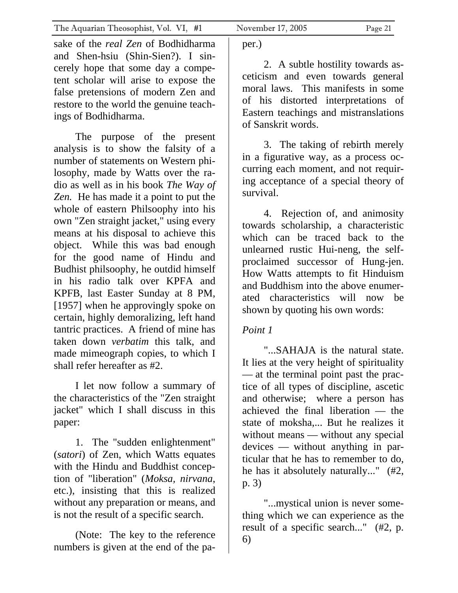sake of the *real Zen* of Bodhidharma and Shen-hsiu (Shin-Sien?). I sincerely hope that some day a competent scholar will arise to expose the false pretensions of modern Zen and restore to the world the genuine teachings of Bodhidharma.

 The purpose of the present analysis is to show the falsity of a number of statements on Western philosophy, made by Watts over the radio as well as in his book *The Way of Zen.* He has made it a point to put the whole of eastern Philsoophy into his own "Zen straight jacket," using every means at his disposal to achieve this object. While this was bad enough for the good name of Hindu and Budhist philsoophy, he outdid himself in his radio talk over KPFA and KPFB, last Easter Sunday at 8 PM, [1957] when he approvingly spoke on certain, highly demoralizing, left hand tantric practices. A friend of mine has taken down *verbatim* this talk, and made mimeograph copies, to which I shall refer hereafter as #2.

 I let now follow a summary of the characteristics of the "Zen straight jacket" which I shall discuss in this paper:

 1. The "sudden enlightenment" (*satori*) of Zen, which Watts equates with the Hindu and Buddhist conception of "liberation" (*Moksa, nirvana*, etc.), insisting that this is realized without any preparation or means, and is not the result of a specific search.

 (Note: The key to the reference numbers is given at the end of the paper.)

 2. A subtle hostility towards asceticism and even towards general moral laws. This manifests in some of his distorted interpretations of Eastern teachings and mistranslations of Sanskrit words.

 3. The taking of rebirth merely in a figurative way, as a process occurring each moment, and not requiring acceptance of a special theory of survival.

 4. Rejection of, and animosity towards scholarship, a characteristic which can be traced back to the unlearned rustic Hui-neng, the selfproclaimed successor of Hung-jen. How Watts attempts to fit Hinduism and Buddhism into the above enumerated characteristics will now be shown by quoting his own words:

### *Point 1*

 "...SAHAJA is the natural state. It lies at the very height of spirituality — at the terminal point past the practice of all types of discipline, ascetic and otherwise; where a person has achieved the final liberation — the state of moksha,... But he realizes it without means — without any special devices — without anything in particular that he has to remember to do, he has it absolutely naturally..." (#2, p. 3)

 "...mystical union is never something which we can experience as the result of a specific search..." (#2, p. 6)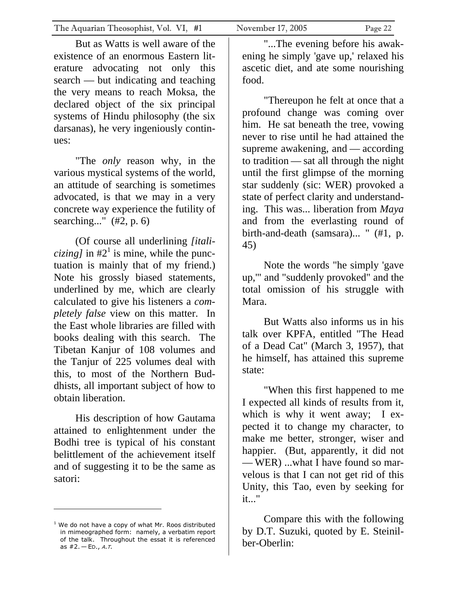But as Watts is well aware of the existence of an enormous Eastern literature advocating not only this search — but indicating and teaching the very means to reach Moksa, the declared object of the six principal systems of Hindu philosophy (the six darsanas), he very ingeniously continues:

 "The *only* reason why, in the various mystical systems of the world, an attitude of searching is sometimes advocated, is that we may in a very concrete way experience the futility of searching..." (#2, p. 6)

 (Of course all underlining *[italicizing]* in  $\#2^1$  is mine, while the punctuation is mainly that of my friend.) Note his grossly biased statements, underlined by me, which are clearly calculated to give his listeners a *completely false* view on this matter. In the East whole libraries are filled with books dealing with this search. The Tibetan Kanjur of 108 volumes and the Tanjur of 225 volumes deal with this, to most of the Northern Buddhists, all important subject of how to obtain liberation.

 His description of how Gautama attained to enlightenment under the Bodhi tree is typical of his constant belittlement of the achievement itself and of suggesting it to be the same as satori:

<span id="page-21-0"></span> $1$  We do not have a copy of what Mr. Roos distributed in mimeographed form: namely, a verbatim report of the talk. Throughout the essat it is referenced as  $#2. - ED.$ , A.T.

 "...The evening before his awakening he simply 'gave up,' relaxed his ascetic diet, and ate some nourishing food.

 "Thereupon he felt at once that a profound change was coming over him. He sat beneath the tree, vowing never to rise until he had attained the supreme awakening, and — according to tradition — sat all through the night until the first glimpse of the morning star suddenly (sic: WER) provoked a state of perfect clarity and understanding. This was... liberation from *Maya*  and from the everlasting round of birth-and-death (samsara)... " (#1, p. 45)

 Note the words "he simply 'gave up,'" and "suddenly provoked" and the total omission of his struggle with Mara.

 But Watts also informs us in his talk over KPFA, entitled "The Head of a Dead Cat" (March 3, 1957), that he himself, has attained this supreme state:

 "When this first happened to me I expected all kinds of results from it, which is why it went away; I expected it to change my character, to make me better, stronger, wiser and happier. (But, apparently, it did not — WER) ...what I have found so marvelous is that I can not get rid of this Unity, this Tao, even by seeking for it..."

 Compare this with the following by D.T. Suzuki, quoted by E. Steinilber-Oberlin: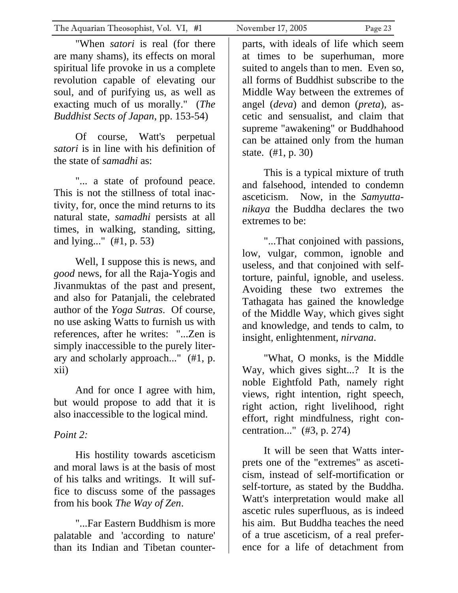"When *satori* is real (for there are many shams), its effects on moral spiritual life provoke in us a complete revolution capable of elevating our soul, and of purifying us, as well as exacting much of us morally." (*The Buddhist Sects of Japan*, pp. 153-54)

 Of course, Watt's perpetual *satori* is in line with his definition of the state of *samadhi* as:

 "... a state of profound peace. This is not the stillness of total inactivity, for, once the mind returns to its natural state, *samadhi* persists at all times, in walking, standing, sitting, and lying..." (#1, p. 53)

 Well, I suppose this is news, and *good* news, for all the Raja-Yogis and Jivanmuktas of the past and present, and also for Patanjali, the celebrated author of the *Yoga Sutras*. Of course, no use asking Watts to furnish us with references, after he writes: "...Zen is simply inaccessible to the purely literary and scholarly approach..." (#1, p. xii)

 And for once I agree with him, but would propose to add that it is also inaccessible to the logical mind.

#### *Point 2:*

 His hostility towards asceticism and moral laws is at the basis of most of his talks and writings. It will suffice to discuss some of the passages from his book *The Way of Zen*.

 "...Far Eastern Buddhism is more palatable and 'according to nature' than its Indian and Tibetan counter-

parts, with ideals of life which seem at times to be superhuman, more suited to angels than to men. Even so, all forms of Buddhist subscribe to the Middle Way between the extremes of angel (*deva*) and demon (*preta*), ascetic and sensualist, and claim that supreme "awakening" or Buddhahood can be attained only from the human state. (#1, p. 30)

 This is a typical mixture of truth and falsehood, intended to condemn asceticism. Now, in the *Samyuttanikaya* the Buddha declares the two extremes to be:

 "...That conjoined with passions, low, vulgar, common, ignoble and useless, and that conjoined with selftorture, painful, ignoble, and useless. Avoiding these two extremes the Tathagata has gained the knowledge of the Middle Way, which gives sight and knowledge, and tends to calm, to insight, enlightenment, *nirvana*.

 "What, O monks, is the Middle Way, which gives sight...? It is the noble Eightfold Path, namely right views, right intention, right speech, right action, right livelihood, right effort, right mindfulness, right concentration..." (#3, p. 274)

 It will be seen that Watts interprets one of the "extremes" as asceticism, instead of self-mortification or self-torture, as stated by the Buddha. Watt's interpretation would make all ascetic rules superfluous, as is indeed his aim. But Buddha teaches the need of a true asceticism, of a real preference for a life of detachment from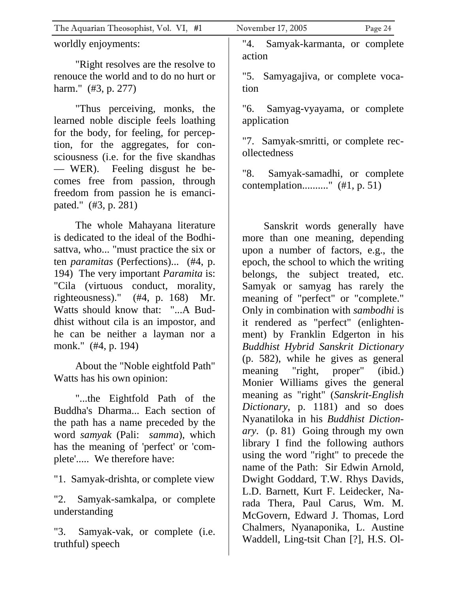| The Aquarian Theosophist, Vol. VI, #1                                                                                                              | November 17, 2005<br>Page 24        |
|----------------------------------------------------------------------------------------------------------------------------------------------------|-------------------------------------|
| worldly enjoyments:                                                                                                                                | "4.<br>Samyak-karmanta, or complete |
| "Right resolves are the resolve to                                                                                                                 | action                              |
| renouce the world and to do no hurt or                                                                                                             | "5. Samyagajiva, or complete voca-  |
| harm." (#3, p. 277)                                                                                                                                | tion                                |
| "Thus perceiving, monks, the                                                                                                                       | Samyag-vyayama, or complete<br>"6.  |
| learned noble disciple feels loathing<br>$C_{\alpha}$ and $1 \cdot 1$ $C_{\alpha}$ $C_{\alpha}$ $1 \cdot \ldots \cdot C_{\alpha}$ and $C_{\alpha}$ | application                         |

"7. Samyak-smritti, or complete recollectedness

"8. Samyak-samadhi, or complete contemplation.........." (#1, p. 51)

 Sanskrit words generally have more than one meaning, depending upon a number of factors, e.g., the epoch, the school to which the writing belongs, the subject treated, etc. Samyak or samyag has rarely the meaning of "perfect" or "complete." Only in combination with *sambodhi* is it rendered as "perfect" (enlightenment) by Franklin Edgerton in his *Buddhist Hybrid Sanskrit Dictionary* (p. 582), while he gives as general meaning "right, proper" (ibid.) Monier Williams gives the general meaning as "right" (*Sanskrit-English Dictionary*, p. 1181) and so does Nyanatiloka in his *Buddhist Dictionary*. (p. 81) Going through my own library I find the following authors using the word "right" to precede the name of the Path: Sir Edwin Arnold, Dwight Goddard, T.W. Rhys Davids, L.D. Barnett, Kurt F. Leidecker, Narada Thera, Paul Carus, Wm. M. McGovern, Edward J. Thomas, Lord Chalmers, Nyanaponika, L. Austine Waddell, Ling-tsit Chan [?], H.S. Ol-

for the body, for feeling, for perception, for the aggregates, for consciousness (i.e. for the five skandhas — WER). Feeling disgust he becomes free from passion, through freedom from passion he is emancipated." (#3, p. 281)

 The whole Mahayana literature is dedicated to the ideal of the Bodhisattva, who... "must practice the six or ten *paramitas* (Perfections)... (#4, p. 194) The very important *Paramita* is: "Cila (virtuous conduct, morality, righteousness)." (#4, p. 168) Mr. Watts should know that: "...A Buddhist without cila is an impostor, and he can be neither a layman nor a monk." (#4, p. 194)

 About the "Noble eightfold Path" Watts has his own opinion:

 "...the Eightfold Path of the Buddha's Dharma... Each section of the path has a name preceded by the word *samyak* (Pali: *samma*), which has the meaning of 'perfect' or 'complete'..... We therefore have:

"1. Samyak-drishta, or complete view

"2. Samyak-samkalpa, or complete understanding

"3. Samyak-vak, or complete (i.e. truthful) speech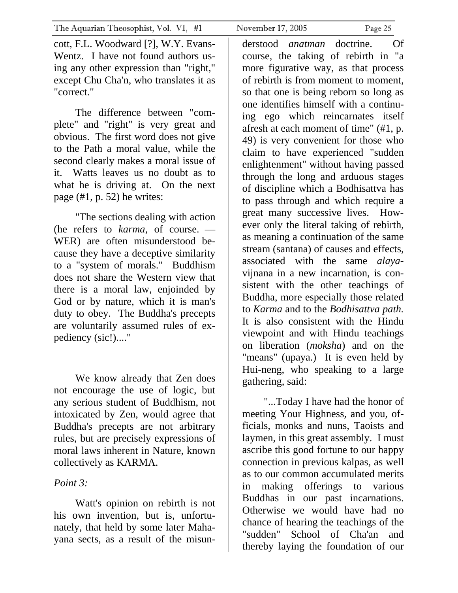cott, F.L. Woodward [?], W.Y. Evans-Wentz. I have not found authors using any other expression than "right," except Chu Cha'n, who translates it as "correct."

 The difference between "complete" and "right" is very great and obvious. The first word does not give to the Path a moral value, while the second clearly makes a moral issue of it. Watts leaves us no doubt as to what he is driving at. On the next page (#1, p. 52) he writes:

 "The sections dealing with action (he refers to *karma*, of course. — WER) are often misunderstood because they have a deceptive similarity to a "system of morals." Buddhism does not share the Western view that there is a moral law, enjoinded by God or by nature, which it is man's duty to obey. The Buddha's precepts are voluntarily assumed rules of expediency (sic!)...."

 We know already that Zen does not encourage the use of logic, but any serious student of Buddhism, not intoxicated by Zen, would agree that Buddha's precepts are not arbitrary rules, but are precisely expressions of moral laws inherent in Nature, known collectively as KARMA.

#### *Point 3:*

 Watt's opinion on rebirth is not his own invention, but is, unfortunately, that held by some later Mahayana sects, as a result of the misun-

derstood *anatman* doctrine. Of course, the taking of rebirth in "a more figurative way, as that process of rebirth is from moment to moment, so that one is being reborn so long as one identifies himself with a continuing ego which reincarnates itself afresh at each moment of time" (#1, p. 49) is very convenient for those who claim to have experienced "sudden enlightenment" without having passed through the long and arduous stages of discipline which a Bodhisattva has to pass through and which require a great many successive lives. However only the literal taking of rebirth, as meaning a continuation of the same stream (santana) of causes and effects, associated with the same *alaya*vijnana in a new incarnation, is consistent with the other teachings of Buddha, more especially those related to *Karma* and to the *Bodhisattva path.*  It is also consistent with the Hindu viewpoint and with Hindu teachings on liberation (*moksha*) and on the "means" (upaya.) It is even held by Hui-neng, who speaking to a large gathering, said:

 "...Today I have had the honor of meeting Your Highness, and you, officials, monks and nuns, Taoists and laymen, in this great assembly. I must ascribe this good fortune to our happy connection in previous kalpas, as well as to our common accumulated merits in making offerings to various Buddhas in our past incarnations. Otherwise we would have had no chance of hearing the teachings of the "sudden" School of Cha'an and thereby laying the foundation of our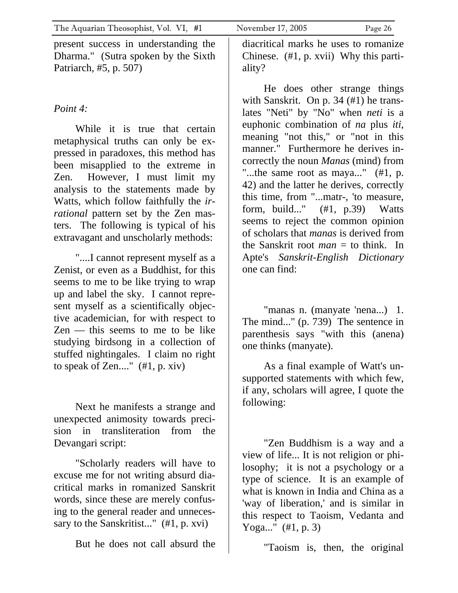present success in understanding the Dharma." (Sutra spoken by the Sixth Patriarch, #5, p. 507)

#### *Point 4:*

 While it is true that certain metaphysical truths can only be expressed in paradoxes, this method has been misapplied to the extreme in Zen. However, I must limit my analysis to the statements made by Watts, which follow faithfully the *irrational* pattern set by the Zen masters. The following is typical of his extravagant and unscholarly methods:

 "....I cannot represent myself as a Zenist, or even as a Buddhist, for this seems to me to be like trying to wrap up and label the sky. I cannot represent myself as a scientifically objective academician, for with respect to Zen — this seems to me to be like studying birdsong in a collection of stuffed nightingales. I claim no right to speak of Zen...."  $(\#1, p. xiv)$ 

 Next he manifests a strange and unexpected animosity towards precision in transliteration from the Devangari script:

 "Scholarly readers will have to excuse me for not writing absurd diacritical marks in romanized Sanskrit words, since these are merely confusing to the general reader and unnecessary to the Sanskritist..." (#1, p. xvi)

But he does not call absurd the

diacritical marks he uses to romanize Chinese. (#1, p. xvii) Why this partiality?

 He does other strange things with Sanskrit. On p. 34 (#1) he translates "Neti" by "No" when *neti* is a euphonic combination of *na* plus *iti*, meaning "not this," or "not in this manner." Furthermore he derives incorrectly the noun *Manas* (mind) from "...the same root as maya..." (#1, p. 42) and the latter he derives, correctly this time, from "...matr-, 'to measure, form, build..." (#1, p.39) Watts seems to reject the common opinion of scholars that *manas* is derived from the Sanskrit root  $man =$  to think. In Apte's *Sanskrit-English Dictionary*  one can find:

 "manas n. (manyate 'nena...) 1. The mind..." (p. 739) The sentence in parenthesis says "with this (anena) one thinks (manyate).

 As a final example of Watt's unsupported statements with which few, if any, scholars will agree, I quote the following:

 "Zen Buddhism is a way and a view of life... It is not religion or philosophy; it is not a psychology or a type of science. It is an example of what is known in India and China as a 'way of liberation,' and is similar in this respect to Taoism, Vedanta and Yoga..." (#1, p. 3)

"Taoism is, then, the original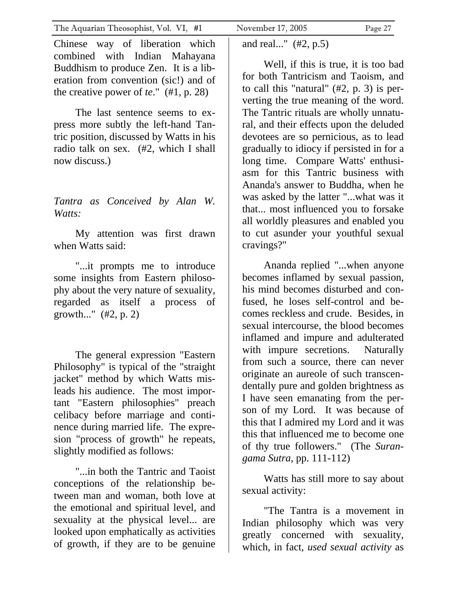Chinese way of liberation which combined with Indian Mahayana Buddhism to produce Zen. It is a liberation from convention (sic!) and of the creative power of *te*." (#1, p. 28)

 The last sentence seems to express more subtly the left-hand Tantric position, discussed by Watts in his radio talk on sex. (#2, which I shall now discuss.)

#### *Tantra as Conceived by Alan W. Watts:*

 My attention was first drawn when Watts said:

 "...it prompts me to introduce some insights from Eastern philosophy about the very nature of sexuality, regarded as itself a process of growth..." (#2, p. 2)

 The general expression "Eastern Philosophy" is typical of the "straight jacket" method by which Watts misleads his audience. The most important "Eastern philosophies" preach celibacy before marriage and continence during married life. The expresion "process of growth" he repeats, slightly modified as follows:

 "...in both the Tantric and Taoist conceptions of the relationship between man and woman, both love at the emotional and spiritual level, and sexuality at the physical level... are looked upon emphatically as activities of growth, if they are to be genuine

and real..." (#2, p.5)

 Well, if this is true, it is too bad for both Tantricism and Taoism, and to call this "natural"  $(\#2, p. 3)$  is perverting the true meaning of the word. The Tantric rituals are wholly unnatural, and their effects upon the deluded devotees are so pernicious, as to lead gradually to idiocy if persisted in for a long time. Compare Watts' enthusiasm for this Tantric business with Ananda's answer to Buddha, when he was asked by the latter "...what was it that... most influenced you to forsake all worldly pleasures and enabled you to cut asunder your youthful sexual cravings?"

 Ananda replied "...when anyone becomes inflamed by sexual passion, his mind becomes disturbed and confused, he loses self-control and becomes reckless and crude. Besides, in sexual intercourse, the blood becomes inflamed and impure and adulterated with impure secretions. Naturally from such a source, there can never originate an aureole of such transcendentally pure and golden brightness as I have seen emanating from the person of my Lord. It was because of this that I admired my Lord and it was this that influenced me to become one of thy true followers." (The *Surangama Sutra*, pp. 111-112)

 Watts has still more to say about sexual activity:

 "The Tantra is a movement in Indian philosophy which was very greatly concerned with sexuality, which, in fact, *used sexual activity* as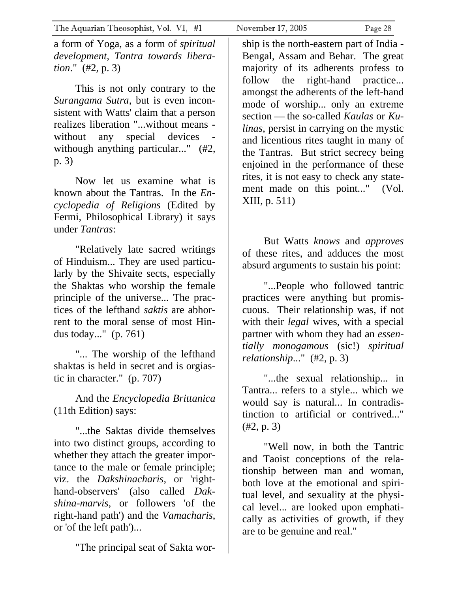a form of Yoga, as a form of *spiritual development, Tantra towards liberation*." (#2, p. 3)

 This is not only contrary to the *Surangama Sutra*, but is even inconsistent with Watts' claim that a person realizes liberation "...without means without any special devices withough anything particular..." (#2, p. 3)

 Now let us examine what is known about the Tantras. In the *Encyclopedia of Religions* (Edited by Fermi, Philosophical Library) it says under *Tantras*:

 "Relatively late sacred writings of Hinduism... They are used particularly by the Shivaite sects, especially the Shaktas who worship the female principle of the universe... The practices of the lefthand *saktis* are abhorrent to the moral sense of most Hindus today..." (p. 761)

 "... The worship of the lefthand shaktas is held in secret and is orgiastic in character." (p. 707)

 And the *Encyclopedia Brittanica* (11th Edition) says:

 "...the Saktas divide themselves into two distinct groups, according to whether they attach the greater importance to the male or female principle; viz. the *Dakshinacharis*, or 'righthand-observers' (also called *Dakshina-marvis*, or followers 'of the right-hand path') and the *Vamacharis*, or 'of the left path')...

"The principal seat of Sakta wor-

ship is the north-eastern part of India - Bengal, Assam and Behar. The great majority of its adherents profess to follow the right-hand practice... amongst the adherents of the left-hand mode of worship... only an extreme section — the so-called *Kaulas* or *Kulinas*, persist in carrying on the mystic and licentious rites taught in many of the Tantras. But strict secrecy being enjoined in the performance of these rites, it is not easy to check any statement made on this point..." (Vol. XIII, p. 511)

 But Watts *knows* and *approves*  of these rites, and adduces the most absurd arguments to sustain his point:

 "...People who followed tantric practices were anything but promiscuous. Their relationship was, if not with their *legal* wives, with a special partner with whom they had an *essentially monogamous* (sic!) *spiritual relationship*..." (#2, p. 3)

 "...the sexual relationship... in Tantra... refers to a style... which we would say is natural... In contradistinction to artificial or contrived..." (#2, p. 3)

 "Well now, in both the Tantric and Taoist conceptions of the relationship between man and woman, both love at the emotional and spiritual level, and sexuality at the physical level... are looked upon emphatically as activities of growth, if they are to be genuine and real."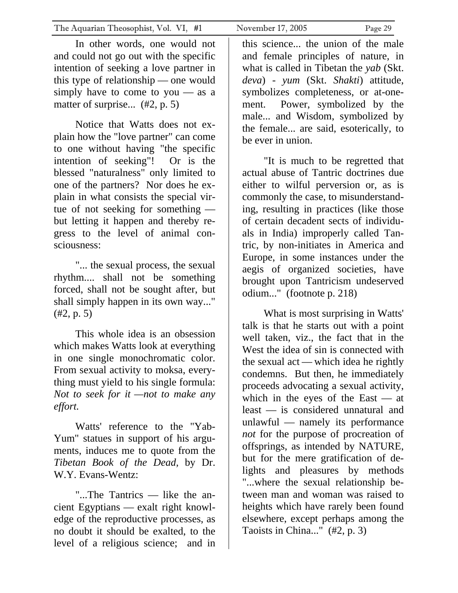Notice that Watts does not explain how the "love partner" can come to one without having "the specific intention of seeking"! Or is the blessed "naturalness" only limited to one of the partners? Nor does he explain in what consists the special virtue of not seeking for something but letting it happen and thereby regress to the level of animal consciousness:

 "... the sexual process, the sexual rhythm.... shall not be something forced, shall not be sought after, but shall simply happen in its own way..." (#2, p. 5)

 This whole idea is an obsession which makes Watts look at everything in one single monochromatic color. From sexual activity to moksa, everything must yield to his single formula: *Not to seek for it —not to make any effort.*

 Watts' reference to the "Yab-Yum" statues in support of his arguments, induces me to quote from the *Tibetan Book of the Dead,* by Dr. W.Y. Evans-Wentz:

 "...The Tantrics — like the ancient Egyptians — exalt right knowledge of the reproductive processes, as no doubt it should be exalted, to the level of a religious science; and in

this science... the union of the male and female principles of nature, in what is called in Tibetan the *yab* (Skt. *deva*) - *yum* (Skt. *Shakti*) attitude, symbolizes completeness, or at-onement. Power, symbolized by the male... and Wisdom, symbolized by the female... are said, esoterically, to be ever in union.

 "It is much to be regretted that actual abuse of Tantric doctrines due either to wilful perversion or, as is commonly the case, to misunderstanding, resulting in practices (like those of certain decadent sects of individuals in India) improperly called Tantric, by non-initiates in America and Europe, in some instances under the aegis of organized societies, have brought upon Tantricism undeserved odium..." (footnote p. 218)

 What is most surprising in Watts' talk is that he starts out with a point well taken, viz., the fact that in the West the idea of sin is connected with the sexual act — which idea he rightly condemns. But then, he immediately proceeds advocating a sexual activity, which in the eyes of the East — at least — is considered unnatural and unlawful — namely its performance *not* for the purpose of procreation of offsprings, as intended by NATURE, but for the mere gratification of delights and pleasures by methods "...where the sexual relationship between man and woman was raised to heights which have rarely been found elsewhere, except perhaps among the Taoists in China..." (#2, p. 3)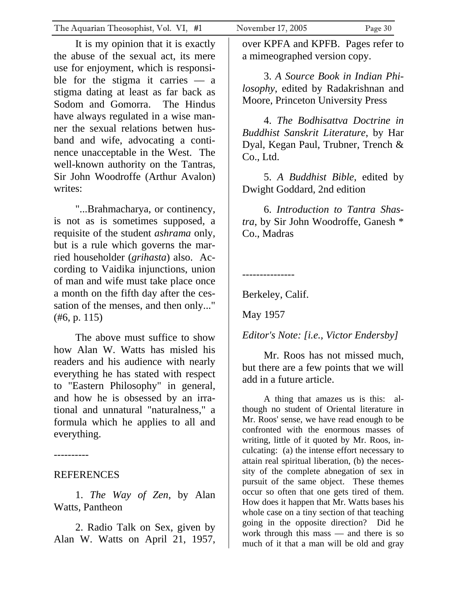It is my opinion that it is exactly the abuse of the sexual act, its mere use for enjoyment, which is responsible for the stigma it carries  $-$  a stigma dating at least as far back as Sodom and Gomorra. The Hindus have always regulated in a wise manner the sexual relations betwen husband and wife, advocating a continence unacceptable in the West. The well-known authority on the Tantras, Sir John Woodroffe (Arthur Avalon) writes:

 "...Brahmacharya, or continency, is not as is sometimes supposed, a requisite of the student *ashrama* only, but is a rule which governs the married householder (*grihasta*) also. According to Vaidika injunctions, union of man and wife must take place once a month on the fifth day after the cessation of the menses, and then only..." (#6, p. 115)

 The above must suffice to show how Alan W. Watts has misled his readers and his audience with nearly everything he has stated with respect to "Eastern Philosophy" in general, and how he is obsessed by an irrational and unnatural "naturalness," a formula which he applies to all and everything.

----------

#### **REFERENCES**

 1. *The Way of Zen*, by Alan Watts, Pantheon

 2. Radio Talk on Sex, given by Alan W. Watts on April 21, 1957,

over KPFA and KPFB. Pages refer to a mimeographed version copy.

 3. *A Source Book in Indian Philosophy*, edited by Radakrishnan and Moore, Princeton University Press

 4. *The Bodhisattva Doctrine in Buddhist Sanskrit Literature*, by Har Dyal, Kegan Paul, Trubner, Trench & Co., Ltd.

 5. *A Buddhist Bible*, edited by Dwight Goddard, 2nd edition

 6. *Introduction to Tantra Shastra*, by Sir John Woodroffe, Ganesh \* Co., Madras

---------------

Berkeley, Calif.

May 1957

*Editor's Note: [i.e., Victor Endersby]*

 Mr. Roos has not missed much, but there are a few points that we will add in a future article.

 A thing that amazes us is this: although no student of Oriental literature in Mr. Roos' sense, we have read enough to be confronted with the enormous masses of writing, little of it quoted by Mr. Roos, inculcating: (a) the intense effort necessary to attain real spiritual liberation, (b) the necessity of the complete abnegation of sex in pursuit of the same object. These themes occur so often that one gets tired of them. How does it happen that Mr. Watts bases his whole case on a tiny section of that teaching going in the opposite direction? Did he work through this mass — and there is so much of it that a man will be old and gray